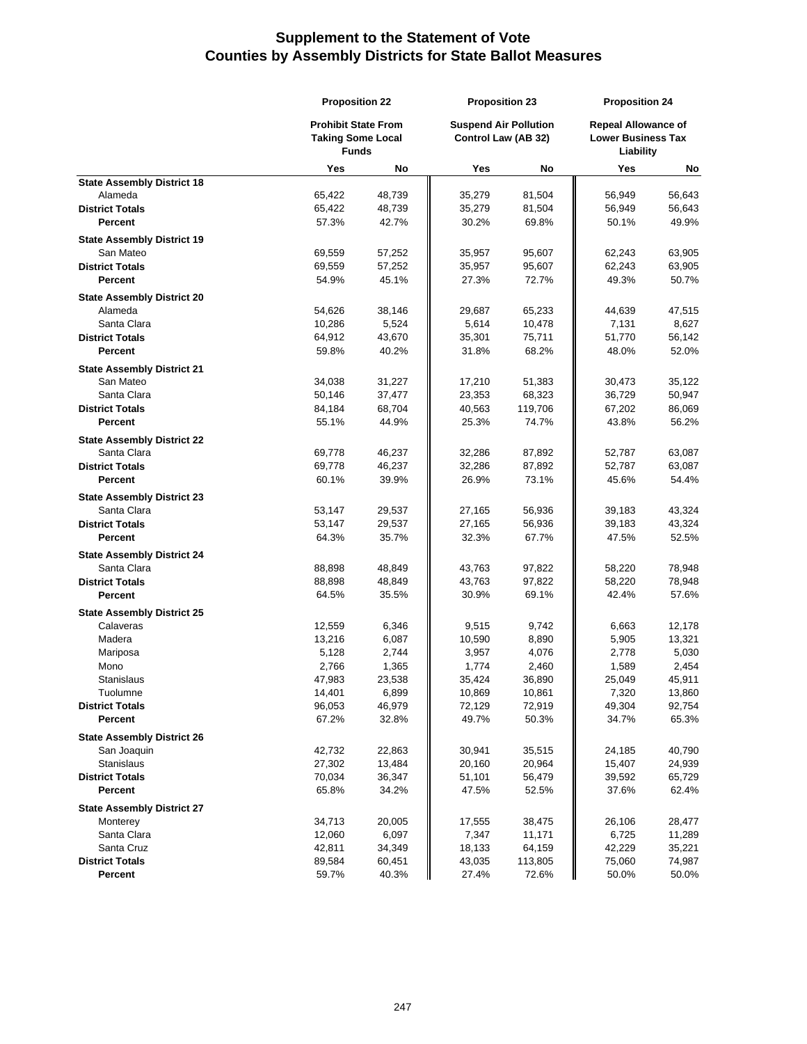|                                   | <b>Proposition 22</b>                                                  |        | <b>Proposition 23</b>                                      |         | <b>Proposition 24</b> |                                                                      |  |
|-----------------------------------|------------------------------------------------------------------------|--------|------------------------------------------------------------|---------|-----------------------|----------------------------------------------------------------------|--|
|                                   | <b>Prohibit State From</b><br><b>Taking Some Local</b><br><b>Funds</b> |        | <b>Suspend Air Pollution</b><br><b>Control Law (AB 32)</b> |         |                       | <b>Repeal Allowance of</b><br><b>Lower Business Tax</b><br>Liability |  |
|                                   | Yes                                                                    | No     | Yes                                                        | No      | Yes                   | No                                                                   |  |
| <b>State Assembly District 18</b> |                                                                        |        |                                                            |         |                       |                                                                      |  |
| Alameda                           | 65,422                                                                 | 48,739 | 35,279                                                     | 81,504  | 56,949                | 56,643                                                               |  |
| <b>District Totals</b>            | 65,422                                                                 | 48,739 | 35,279                                                     | 81,504  | 56,949                | 56,643                                                               |  |
| <b>Percent</b>                    | 57.3%                                                                  | 42.7%  | 30.2%                                                      | 69.8%   | 50.1%                 | 49.9%                                                                |  |
| <b>State Assembly District 19</b> |                                                                        |        |                                                            |         |                       |                                                                      |  |
| San Mateo                         | 69,559                                                                 | 57,252 | 35,957                                                     | 95,607  | 62,243                | 63,905                                                               |  |
| <b>District Totals</b>            | 69,559                                                                 | 57,252 | 35,957                                                     | 95,607  | 62,243                | 63,905                                                               |  |
| Percent                           | 54.9%                                                                  | 45.1%  | 27.3%                                                      | 72.7%   | 49.3%                 | 50.7%                                                                |  |
| <b>State Assembly District 20</b> |                                                                        |        |                                                            |         |                       |                                                                      |  |
| Alameda                           | 54,626                                                                 | 38,146 | 29,687                                                     | 65,233  | 44,639                | 47,515                                                               |  |
| Santa Clara                       | 10,286                                                                 | 5,524  | 5,614                                                      | 10,478  | 7,131                 | 8,627                                                                |  |
| <b>District Totals</b>            | 64,912                                                                 | 43,670 | 35,301                                                     | 75,711  | 51,770                | 56,142                                                               |  |
| Percent                           | 59.8%                                                                  | 40.2%  | 31.8%                                                      | 68.2%   | 48.0%                 | 52.0%                                                                |  |
| <b>State Assembly District 21</b> |                                                                        |        |                                                            |         |                       |                                                                      |  |
| San Mateo                         | 34,038                                                                 | 31,227 | 17,210                                                     | 51,383  | 30,473                | 35,122                                                               |  |
| Santa Clara                       | 50,146                                                                 | 37,477 | 23,353                                                     | 68,323  | 36,729                | 50,947                                                               |  |
| <b>District Totals</b>            | 84,184                                                                 | 68,704 | 40,563                                                     | 119,706 | 67,202                | 86,069                                                               |  |
| Percent                           | 55.1%                                                                  | 44.9%  | 25.3%                                                      | 74.7%   | 43.8%                 | 56.2%                                                                |  |
| <b>State Assembly District 22</b> |                                                                        |        |                                                            |         |                       |                                                                      |  |
| Santa Clara                       | 69,778                                                                 | 46,237 | 32,286                                                     | 87,892  | 52,787                | 63,087                                                               |  |
| <b>District Totals</b>            | 69,778                                                                 | 46,237 | 32,286                                                     | 87,892  | 52,787                | 63,087                                                               |  |
| <b>Percent</b>                    | 60.1%                                                                  | 39.9%  | 26.9%                                                      | 73.1%   | 45.6%                 | 54.4%                                                                |  |
| <b>State Assembly District 23</b> |                                                                        |        |                                                            |         |                       |                                                                      |  |
| Santa Clara                       | 53,147                                                                 | 29,537 | 27,165                                                     | 56,936  | 39,183                | 43,324                                                               |  |
| <b>District Totals</b>            | 53,147                                                                 | 29,537 | 27,165                                                     | 56,936  | 39,183                | 43,324                                                               |  |
| <b>Percent</b>                    | 64.3%                                                                  | 35.7%  | 32.3%                                                      | 67.7%   | 47.5%                 | 52.5%                                                                |  |
| <b>State Assembly District 24</b> |                                                                        |        |                                                            |         |                       |                                                                      |  |
| Santa Clara                       | 88,898                                                                 | 48,849 | 43,763                                                     | 97,822  | 58,220                | 78,948                                                               |  |
| <b>District Totals</b>            | 88,898                                                                 | 48,849 | 43,763                                                     | 97,822  | 58,220                | 78,948                                                               |  |
| <b>Percent</b>                    | 64.5%                                                                  | 35.5%  | 30.9%                                                      | 69.1%   | 42.4%                 | 57.6%                                                                |  |
| <b>State Assembly District 25</b> |                                                                        |        |                                                            |         |                       |                                                                      |  |
| Calaveras                         | 12,559                                                                 | 6,346  | 9,515                                                      | 9,742   | 6,663                 | 12,178                                                               |  |
| Madera                            | 13,216                                                                 | 6,087  | 10,590                                                     | 8,890   | 5,905                 | 13,321                                                               |  |
| Mariposa                          | 5,128                                                                  | 2,744  | 3,957                                                      | 4,076   | 2,778                 | 5,030                                                                |  |
| Mono                              | 2,766                                                                  | 1,365  | 1,774                                                      | 2,460   | 1,589                 | 2,454                                                                |  |
| <b>Stanislaus</b>                 | 47,983                                                                 | 23,538 | 35,424                                                     | 36,890  | 25,049                | 45,911                                                               |  |
| Tuolumne                          | 14,401                                                                 | 6,899  | 10,869                                                     | 10,861  | 7,320                 | 13,860                                                               |  |
| <b>District Totals</b>            | 96,053                                                                 | 46,979 | 72,129                                                     | 72,919  | 49,304                | 92,754                                                               |  |
| Percent                           | 67.2%                                                                  | 32.8%  | 49.7%                                                      | 50.3%   | 34.7%                 | 65.3%                                                                |  |
| <b>State Assembly District 26</b> |                                                                        |        |                                                            |         |                       |                                                                      |  |
| San Joaquin                       | 42,732                                                                 | 22,863 | 30,941                                                     | 35,515  | 24,185                | 40,790                                                               |  |
| Stanislaus                        | 27,302                                                                 | 13,484 | 20,160                                                     | 20,964  | 15,407                | 24,939                                                               |  |
| <b>District Totals</b>            | 70,034                                                                 | 36,347 | 51,101                                                     | 56,479  | 39,592                | 65,729                                                               |  |
| Percent                           | 65.8%                                                                  | 34.2%  | 47.5%                                                      | 52.5%   | 37.6%                 | 62.4%                                                                |  |
| <b>State Assembly District 27</b> |                                                                        |        |                                                            |         |                       |                                                                      |  |
| Monterey                          | 34,713                                                                 | 20,005 | 17,555                                                     | 38,475  | 26,106                | 28,477                                                               |  |
| Santa Clara                       | 12,060                                                                 | 6,097  | 7,347                                                      | 11,171  | 6,725                 | 11,289                                                               |  |
| Santa Cruz                        | 42,811                                                                 | 34,349 | 18,133                                                     | 64,159  | 42,229                | 35,221                                                               |  |
| <b>District Totals</b>            | 89,584                                                                 | 60,451 | 43,035                                                     | 113,805 | 75,060                | 74,987                                                               |  |
| Percent                           | 59.7%                                                                  | 40.3%  | 27.4%                                                      | 72.6%   | 50.0%                 | 50.0%                                                                |  |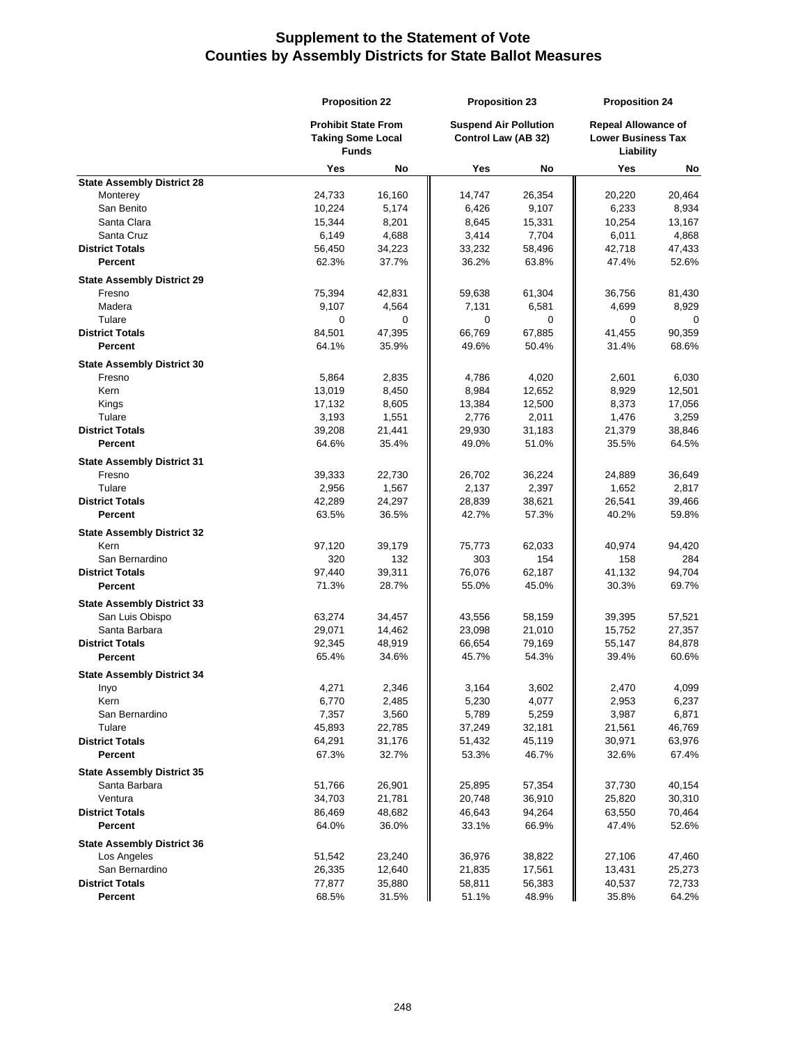|                                             | <b>Proposition 22</b>                                                  |                 | <b>Proposition 23</b><br><b>Suspend Air Pollution</b><br>Control Law (AB 32) |                 | <b>Proposition 24</b><br><b>Repeal Allowance of</b><br><b>Lower Business Tax</b><br>Liability |                 |
|---------------------------------------------|------------------------------------------------------------------------|-----------------|------------------------------------------------------------------------------|-----------------|-----------------------------------------------------------------------------------------------|-----------------|
|                                             | <b>Prohibit State From</b><br><b>Taking Some Local</b><br><b>Funds</b> |                 |                                                                              |                 |                                                                                               |                 |
|                                             | Yes                                                                    | No              | Yes                                                                          | No              | Yes                                                                                           | No              |
| <b>State Assembly District 28</b>           |                                                                        |                 |                                                                              |                 |                                                                                               |                 |
| Monterey                                    | 24,733                                                                 | 16,160          | 14,747                                                                       | 26,354          | 20,220                                                                                        | 20,464          |
| San Benito                                  | 10,224                                                                 | 5,174           | 6,426                                                                        | 9,107           | 6,233                                                                                         | 8,934           |
| Santa Clara                                 | 15,344                                                                 | 8,201           | 8,645                                                                        | 15,331          | 10,254                                                                                        | 13,167          |
| Santa Cruz                                  | 6,149                                                                  | 4,688           | 3,414                                                                        | 7,704           | 6,011                                                                                         | 4,868           |
| <b>District Totals</b>                      | 56,450                                                                 | 34,223          | 33,232                                                                       | 58,496          | 42,718                                                                                        | 47,433          |
| Percent                                     | 62.3%                                                                  | 37.7%           | 36.2%                                                                        | 63.8%           | 47.4%                                                                                         | 52.6%           |
| <b>State Assembly District 29</b>           |                                                                        |                 |                                                                              |                 |                                                                                               |                 |
| Fresno                                      | 75,394                                                                 | 42,831          | 59,638                                                                       | 61,304          | 36,756                                                                                        | 81,430          |
| Madera                                      | 9,107                                                                  | 4,564           | 7,131                                                                        | 6,581           | 4,699                                                                                         | 8,929           |
| Tulare                                      | 0                                                                      | 0               | 0                                                                            | 0               | 0                                                                                             | 0               |
| <b>District Totals</b><br>Percent           | 84,501<br>64.1%                                                        | 47,395<br>35.9% | 66,769<br>49.6%                                                              | 67,885<br>50.4% | 41,455<br>31.4%                                                                               | 90,359<br>68.6% |
|                                             |                                                                        |                 |                                                                              |                 |                                                                                               |                 |
| <b>State Assembly District 30</b>           |                                                                        |                 |                                                                              |                 |                                                                                               |                 |
| Fresno                                      | 5,864                                                                  | 2,835           | 4,786                                                                        | 4,020           | 2,601                                                                                         | 6,030           |
| Kern                                        | 13,019                                                                 | 8,450<br>8,605  | 8,984                                                                        | 12,652          | 8,929                                                                                         | 12,501          |
| Kings<br>Tulare                             | 17,132<br>3,193                                                        | 1,551           | 13,384<br>2,776                                                              | 12,500<br>2,011 | 8,373<br>1,476                                                                                | 17,056<br>3,259 |
| <b>District Totals</b>                      | 39,208                                                                 | 21,441          | 29,930                                                                       | 31,183          | 21,379                                                                                        | 38,846          |
| Percent                                     | 64.6%                                                                  | 35.4%           | 49.0%                                                                        | 51.0%           | 35.5%                                                                                         | 64.5%           |
|                                             |                                                                        |                 |                                                                              |                 |                                                                                               |                 |
| <b>State Assembly District 31</b><br>Fresno | 39,333                                                                 |                 |                                                                              |                 |                                                                                               |                 |
| Tulare                                      | 2,956                                                                  | 22,730<br>1,567 | 26,702<br>2,137                                                              | 36,224<br>2,397 | 24,889<br>1,652                                                                               | 36,649<br>2,817 |
| <b>District Totals</b>                      | 42,289                                                                 | 24,297          | 28,839                                                                       | 38,621          | 26,541                                                                                        | 39,466          |
| Percent                                     | 63.5%                                                                  | 36.5%           | 42.7%                                                                        | 57.3%           | 40.2%                                                                                         | 59.8%           |
| <b>State Assembly District 32</b>           |                                                                        |                 |                                                                              |                 |                                                                                               |                 |
| Kern                                        | 97,120                                                                 | 39,179          | 75,773                                                                       | 62,033          | 40,974                                                                                        | 94,420          |
| San Bernardino                              | 320                                                                    | 132             | 303                                                                          | 154             | 158                                                                                           | 284             |
| <b>District Totals</b>                      | 97,440                                                                 | 39,311          | 76,076                                                                       | 62,187          | 41,132                                                                                        | 94,704          |
| Percent                                     | 71.3%                                                                  | 28.7%           | 55.0%                                                                        | 45.0%           | 30.3%                                                                                         | 69.7%           |
| <b>State Assembly District 33</b>           |                                                                        |                 |                                                                              |                 |                                                                                               |                 |
| San Luis Obispo                             | 63,274                                                                 | 34,457          | 43,556                                                                       | 58,159          | 39,395                                                                                        | 57,521          |
| Santa Barbara                               | 29,071                                                                 | 14,462          | 23,098                                                                       | 21,010          | 15,752                                                                                        | 27,357          |
| <b>District Totals</b>                      | 92,345                                                                 | 48,919          | 66,654                                                                       | 79,169          | 55,147                                                                                        | 84,878          |
| Percent                                     | 65.4%                                                                  | 34.6%           | 45.7%                                                                        | 54.3%           | 39.4%                                                                                         | 60.6%           |
| <b>State Assembly District 34</b>           |                                                                        |                 |                                                                              |                 |                                                                                               |                 |
| inyo                                        | 4,271                                                                  | 2,346           | 3,164                                                                        | 3,602           | 2,470                                                                                         | 4,099           |
| Kern                                        | 6,770                                                                  | 2,485           | 5,230                                                                        | 4,077           | 2,953                                                                                         | 6,237           |
| San Bernardino                              | 7,357                                                                  | 3,560           | 5,789                                                                        | 5,259           | 3,987                                                                                         | 6,871           |
| Tulare                                      | 45,893                                                                 | 22,785          | 37,249                                                                       | 32,181          | 21,561                                                                                        | 46,769          |
| <b>District Totals</b>                      | 64,291                                                                 | 31,176          | 51,432                                                                       | 45,119          | 30,971                                                                                        | 63,976          |
| Percent                                     | 67.3%                                                                  | 32.7%           | 53.3%                                                                        | 46.7%           | 32.6%                                                                                         | 67.4%           |
| <b>State Assembly District 35</b>           |                                                                        |                 |                                                                              |                 |                                                                                               |                 |
| Santa Barbara                               | 51,766                                                                 | 26,901          | 25,895                                                                       | 57,354          | 37,730                                                                                        | 40,154          |
| Ventura                                     | 34,703                                                                 | 21,781          | 20,748                                                                       | 36,910          | 25,820                                                                                        | 30,310          |
| <b>District Totals</b>                      | 86,469                                                                 | 48,682          | 46,643                                                                       | 94,264          | 63,550                                                                                        | 70,464          |
| <b>Percent</b>                              | 64.0%                                                                  | 36.0%           | 33.1%                                                                        | 66.9%           | 47.4%                                                                                         | 52.6%           |
| <b>State Assembly District 36</b>           |                                                                        |                 |                                                                              |                 |                                                                                               |                 |
| Los Angeles                                 | 51,542                                                                 | 23,240          | 36,976                                                                       | 38,822          | 27,106                                                                                        | 47,460          |
| San Bernardino                              | 26,335                                                                 | 12,640          | 21,835                                                                       | 17,561          | 13,431                                                                                        | 25,273          |
| <b>District Totals</b>                      | 77,877                                                                 | 35,880          | 58,811                                                                       | 56,383          | 40,537                                                                                        | 72,733          |
| Percent                                     | 68.5%                                                                  | 31.5%           | 51.1%                                                                        | 48.9%           | 35.8%                                                                                         | 64.2%           |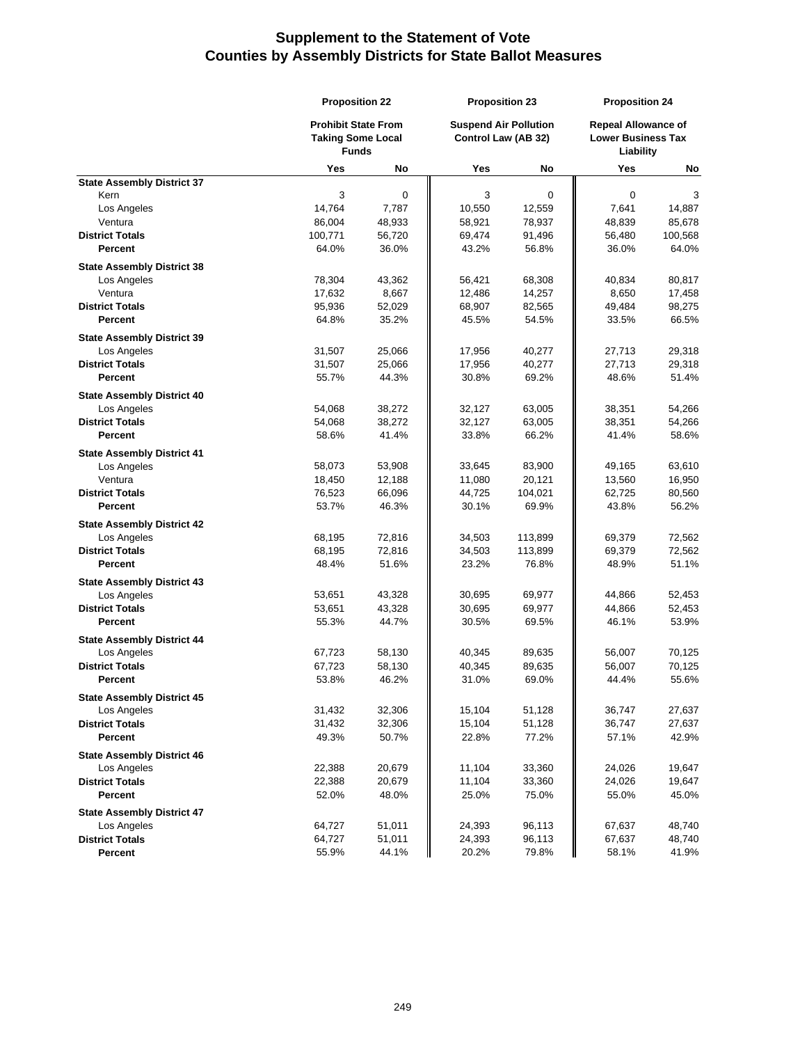|                                                  | <b>Proposition 22</b>                                                  |        | <b>Proposition 23</b><br><b>Suspend Air Pollution</b><br>Control Law (AB 32) |             | <b>Proposition 24</b><br><b>Repeal Allowance of</b><br><b>Lower Business Tax</b><br>Liability |                  |
|--------------------------------------------------|------------------------------------------------------------------------|--------|------------------------------------------------------------------------------|-------------|-----------------------------------------------------------------------------------------------|------------------|
|                                                  | <b>Prohibit State From</b><br><b>Taking Some Local</b><br><b>Funds</b> |        |                                                                              |             |                                                                                               |                  |
|                                                  | Yes                                                                    | No     | Yes                                                                          | No          | Yes                                                                                           | No               |
| <b>State Assembly District 37</b>                |                                                                        |        |                                                                              |             |                                                                                               |                  |
| Kern                                             | 3                                                                      | 0      | 3                                                                            | $\mathbf 0$ | 0                                                                                             | 3                |
| Los Angeles                                      | 14,764                                                                 | 7,787  | 10,550                                                                       | 12,559      | 7,641                                                                                         | 14,887           |
| Ventura                                          | 86,004                                                                 | 48,933 | 58,921                                                                       | 78,937      | 48,839                                                                                        | 85,678           |
| <b>District Totals</b><br><b>Percent</b>         | 100,771                                                                | 56,720 | 69,474                                                                       | 91,496      | 56,480<br>36.0%                                                                               | 100,568<br>64.0% |
|                                                  | 64.0%                                                                  | 36.0%  | 43.2%                                                                        | 56.8%       |                                                                                               |                  |
| <b>State Assembly District 38</b>                |                                                                        |        |                                                                              |             |                                                                                               |                  |
| Los Angeles                                      | 78,304                                                                 | 43,362 | 56,421                                                                       | 68,308      | 40,834                                                                                        | 80,817           |
| Ventura                                          | 17,632                                                                 | 8,667  | 12,486                                                                       | 14,257      | 8,650                                                                                         | 17,458           |
| <b>District Totals</b>                           | 95,936                                                                 | 52,029 | 68,907                                                                       | 82,565      | 49,484                                                                                        | 98,275           |
| Percent                                          | 64.8%                                                                  | 35.2%  | 45.5%                                                                        | 54.5%       | 33.5%                                                                                         | 66.5%            |
| <b>State Assembly District 39</b>                |                                                                        |        |                                                                              |             |                                                                                               |                  |
| Los Angeles                                      | 31,507                                                                 | 25,066 | 17,956                                                                       | 40,277      | 27,713                                                                                        | 29,318           |
| <b>District Totals</b>                           | 31,507                                                                 | 25,066 | 17,956                                                                       | 40,277      | 27,713                                                                                        | 29,318           |
| Percent                                          | 55.7%                                                                  | 44.3%  | 30.8%                                                                        | 69.2%       | 48.6%                                                                                         | 51.4%            |
| <b>State Assembly District 40</b>                |                                                                        |        |                                                                              |             |                                                                                               |                  |
| Los Angeles                                      | 54,068                                                                 | 38,272 | 32,127                                                                       | 63,005      | 38,351                                                                                        | 54,266           |
| <b>District Totals</b>                           | 54,068                                                                 | 38,272 | 32,127                                                                       | 63,005      | 38,351                                                                                        | 54,266           |
| <b>Percent</b>                                   | 58.6%                                                                  | 41.4%  | 33.8%                                                                        | 66.2%       | 41.4%                                                                                         | 58.6%            |
| <b>State Assembly District 41</b>                |                                                                        |        |                                                                              |             |                                                                                               |                  |
| Los Angeles                                      | 58,073                                                                 | 53,908 | 33,645                                                                       | 83,900      | 49,165                                                                                        | 63,610           |
| Ventura                                          | 18,450                                                                 | 12,188 | 11,080                                                                       | 20,121      | 13,560                                                                                        | 16,950           |
| <b>District Totals</b>                           | 76,523                                                                 | 66,096 | 44,725                                                                       | 104,021     | 62,725                                                                                        | 80,560           |
| <b>Percent</b>                                   | 53.7%                                                                  | 46.3%  | 30.1%                                                                        | 69.9%       | 43.8%                                                                                         | 56.2%            |
| <b>State Assembly District 42</b>                |                                                                        |        |                                                                              |             |                                                                                               |                  |
| Los Angeles                                      | 68,195                                                                 | 72,816 | 34,503                                                                       | 113,899     | 69,379                                                                                        | 72,562           |
| <b>District Totals</b>                           | 68,195                                                                 | 72,816 | 34,503                                                                       | 113,899     | 69,379                                                                                        | 72,562           |
| <b>Percent</b>                                   | 48.4%                                                                  | 51.6%  | 23.2%                                                                        | 76.8%       | 48.9%                                                                                         | 51.1%            |
| <b>State Assembly District 43</b>                |                                                                        |        |                                                                              |             |                                                                                               |                  |
| Los Angeles                                      | 53,651                                                                 | 43,328 | 30,695                                                                       | 69,977      | 44,866                                                                                        | 52,453           |
| <b>District Totals</b>                           | 53,651                                                                 | 43,328 | 30,695                                                                       | 69,977      | 44,866                                                                                        | 52,453           |
| <b>Percent</b>                                   | 55.3%                                                                  | 44.7%  | 30.5%                                                                        | 69.5%       | 46.1%                                                                                         | 53.9%            |
| <b>State Assembly District 44</b>                |                                                                        |        |                                                                              |             |                                                                                               |                  |
| Los Angeles                                      | 67,723                                                                 | 58,130 | 40,345                                                                       | 89,635      | 56,007                                                                                        | 70,125           |
| <b>District Totals</b>                           | 67,723                                                                 | 58,130 | 40,345                                                                       | 89,635      | 56,007                                                                                        | 70,125           |
| Percent                                          | 53.8%                                                                  | 46.2%  | 31.0%                                                                        | 69.0%       | 44.4%                                                                                         | 55.6%            |
| <b>State Assembly District 45</b>                |                                                                        |        |                                                                              |             |                                                                                               |                  |
| Los Angeles                                      | 31,432                                                                 | 32,306 | 15,104                                                                       | 51,128      | 36,747                                                                                        | 27,637           |
| <b>District Totals</b>                           | 31,432                                                                 | 32,306 | 15,104                                                                       | 51,128      | 36,747                                                                                        | 27,637           |
| <b>Percent</b>                                   | 49.3%                                                                  | 50.7%  | 22.8%                                                                        | 77.2%       | 57.1%                                                                                         | 42.9%            |
| <b>State Assembly District 46</b>                |                                                                        |        |                                                                              |             |                                                                                               |                  |
| Los Angeles                                      | 22,388                                                                 | 20,679 | 11,104                                                                       | 33,360      | 24,026                                                                                        | 19,647           |
| <b>District Totals</b>                           | 22,388                                                                 | 20,679 | 11,104                                                                       | 33,360      | 24,026                                                                                        | 19,647           |
| Percent                                          | 52.0%                                                                  | 48.0%  | 25.0%                                                                        | 75.0%       | 55.0%                                                                                         | 45.0%            |
|                                                  |                                                                        |        |                                                                              |             |                                                                                               |                  |
| <b>State Assembly District 47</b><br>Los Angeles | 64,727                                                                 | 51,011 | 24,393                                                                       | 96,113      | 67,637                                                                                        | 48,740           |
| <b>District Totals</b>                           | 64,727                                                                 | 51,011 | 24,393                                                                       | 96,113      | 67,637                                                                                        | 48,740           |
| Percent                                          | 55.9%                                                                  | 44.1%  | 20.2%                                                                        | 79.8%       | 58.1%                                                                                         | 41.9%            |
|                                                  |                                                                        |        |                                                                              |             |                                                                                               |                  |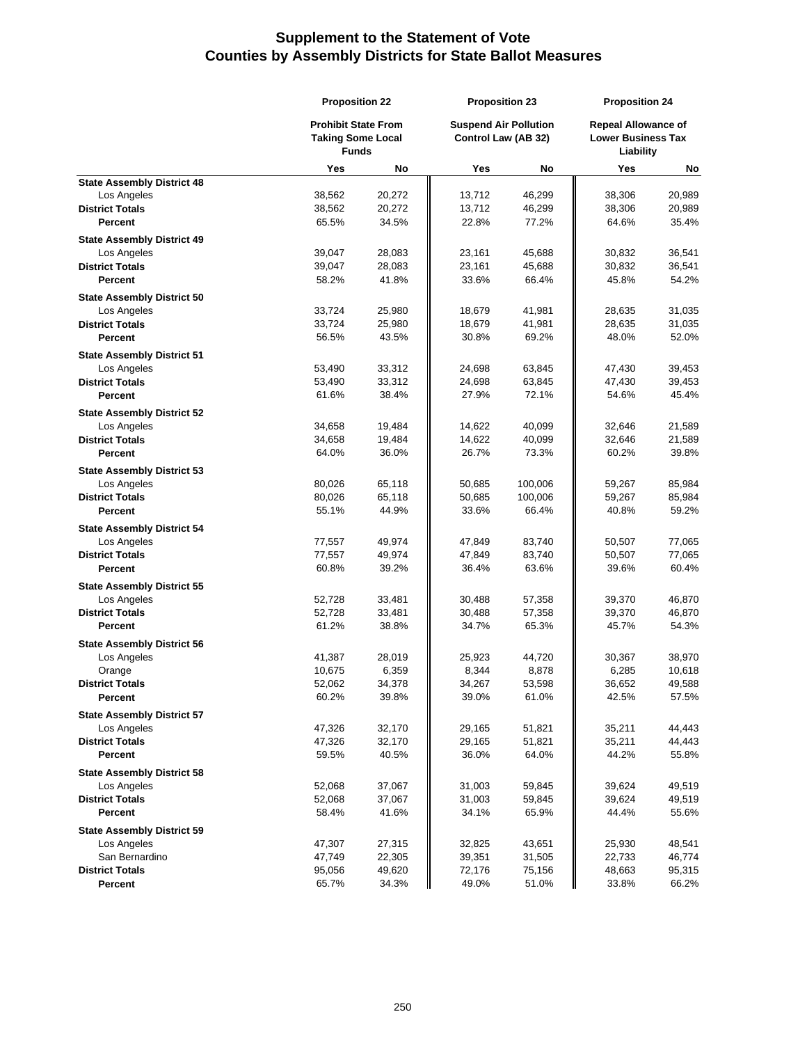|                                   |                            | <b>Proposition 22</b> |                     | <b>Proposition 23</b>        |                           | <b>Proposition 24</b>      |  |
|-----------------------------------|----------------------------|-----------------------|---------------------|------------------------------|---------------------------|----------------------------|--|
|                                   | <b>Prohibit State From</b> |                       |                     | <b>Suspend Air Pollution</b> |                           | <b>Repeal Allowance of</b> |  |
|                                   | <b>Taking Some Local</b>   |                       | Control Law (AB 32) |                              | <b>Lower Business Tax</b> |                            |  |
|                                   | <b>Funds</b>               |                       |                     |                              | Liability                 |                            |  |
|                                   | Yes                        | No                    | Yes                 | No                           | Yes                       | No                         |  |
| <b>State Assembly District 48</b> |                            |                       |                     |                              |                           |                            |  |
| Los Angeles                       | 38,562                     | 20,272                | 13,712              | 46,299                       | 38,306                    | 20,989                     |  |
| <b>District Totals</b>            | 38,562                     | 20,272                | 13,712              | 46,299                       | 38,306                    | 20,989                     |  |
| Percent                           | 65.5%                      | 34.5%                 | 22.8%               | 77.2%                        | 64.6%                     | 35.4%                      |  |
| <b>State Assembly District 49</b> |                            |                       |                     |                              |                           |                            |  |
| Los Angeles                       | 39,047                     | 28,083                | 23,161              | 45,688                       | 30,832                    | 36,541                     |  |
| <b>District Totals</b>            | 39,047                     | 28,083                | 23,161              | 45,688                       | 30,832                    | 36,541                     |  |
| <b>Percent</b>                    | 58.2%                      | 41.8%                 | 33.6%               | 66.4%                        | 45.8%                     | 54.2%                      |  |
| <b>State Assembly District 50</b> |                            |                       |                     |                              |                           |                            |  |
| Los Angeles                       | 33,724                     | 25,980                | 18,679              | 41,981                       | 28,635                    | 31,035                     |  |
| <b>District Totals</b>            | 33,724                     | 25,980                | 18,679              | 41,981                       | 28,635                    | 31,035                     |  |
| Percent                           | 56.5%                      | 43.5%                 | 30.8%               | 69.2%                        | 48.0%                     | 52.0%                      |  |
| <b>State Assembly District 51</b> |                            |                       |                     |                              |                           |                            |  |
| Los Angeles                       | 53,490                     | 33,312                | 24,698              | 63,845                       | 47,430                    | 39,453                     |  |
| <b>District Totals</b>            | 53,490                     | 33,312                | 24,698              | 63,845                       | 47,430                    | 39,453                     |  |
| Percent                           | 61.6%                      | 38.4%                 | 27.9%               | 72.1%                        | 54.6%                     | 45.4%                      |  |
| <b>State Assembly District 52</b> |                            |                       |                     |                              |                           |                            |  |
| Los Angeles                       | 34,658                     | 19,484                | 14,622              | 40,099                       | 32,646                    | 21,589                     |  |
| <b>District Totals</b>            | 34,658                     | 19,484                | 14,622              | 40,099                       | 32,646                    | 21,589                     |  |
| Percent                           | 64.0%                      | 36.0%                 | 26.7%               | 73.3%                        | 60.2%                     | 39.8%                      |  |
|                                   |                            |                       |                     |                              |                           |                            |  |
| <b>State Assembly District 53</b> |                            |                       |                     |                              |                           |                            |  |
| Los Angeles                       | 80,026                     | 65,118                | 50,685              | 100,006                      | 59,267                    | 85,984                     |  |
| <b>District Totals</b><br>Percent | 80,026                     | 65,118<br>44.9%       | 50,685              | 100,006                      | 59,267                    | 85,984                     |  |
|                                   | 55.1%                      |                       | 33.6%               | 66.4%                        | 40.8%                     | 59.2%                      |  |
| <b>State Assembly District 54</b> |                            |                       |                     |                              |                           |                            |  |
| Los Angeles                       | 77,557                     | 49,974                | 47,849              | 83,740                       | 50,507                    | 77,065                     |  |
| <b>District Totals</b>            | 77,557                     | 49,974                | 47,849              | 83,740                       | 50,507                    | 77,065                     |  |
| <b>Percent</b>                    | 60.8%                      | 39.2%                 | 36.4%               | 63.6%                        | 39.6%                     | 60.4%                      |  |
| <b>State Assembly District 55</b> |                            |                       |                     |                              |                           |                            |  |
| Los Angeles                       | 52,728                     | 33,481                | 30,488              | 57,358                       | 39,370                    | 46,870                     |  |
| <b>District Totals</b>            | 52,728                     | 33,481                | 30,488              | 57,358                       | 39,370                    | 46,870                     |  |
| <b>Percent</b>                    | 61.2%                      | 38.8%                 | 34.7%               | 65.3%                        | 45.7%                     | 54.3%                      |  |
| <b>State Assembly District 56</b> |                            |                       |                     |                              |                           |                            |  |
| Los Angeles                       | 41,387                     | 28,019                | 25,923              | 44,720                       | 30,367                    | 38,970                     |  |
| Orange                            | 10,675                     | 6,359                 | 8,344               | 8,878                        | 6,285                     | 10,618                     |  |
| <b>District Totals</b>            | 52,062                     | 34.378                | 34,267              | 53,598                       | 36.652                    | 49.588                     |  |
| <b>Percent</b>                    | 60.2%                      | 39.8%                 | 39.0%               | 61.0%                        | 42.5%                     | 57.5%                      |  |
| <b>State Assembly District 57</b> |                            |                       |                     |                              |                           |                            |  |
| Los Angeles                       | 47,326                     | 32,170                | 29,165              | 51,821                       | 35,211                    | 44,443                     |  |
| <b>District Totals</b>            | 47,326                     | 32,170                | 29,165              | 51,821                       | 35,211                    | 44,443                     |  |
| Percent                           | 59.5%                      | 40.5%                 | 36.0%               | 64.0%                        | 44.2%                     | 55.8%                      |  |
| <b>State Assembly District 58</b> |                            |                       |                     |                              |                           |                            |  |
| Los Angeles                       | 52,068                     | 37,067                | 31,003              | 59,845                       | 39,624                    | 49,519                     |  |
| <b>District Totals</b>            | 52,068                     | 37,067                | 31,003              | 59,845                       | 39,624                    | 49,519                     |  |
| <b>Percent</b>                    | 58.4%                      | 41.6%                 | 34.1%               | 65.9%                        | 44.4%                     | 55.6%                      |  |
| <b>State Assembly District 59</b> |                            |                       |                     |                              |                           |                            |  |
| Los Angeles                       | 47,307                     | 27,315                | 32,825              | 43,651                       | 25,930                    | 48,541                     |  |
| San Bernardino                    | 47,749                     | 22,305                | 39,351              | 31,505                       | 22,733                    | 46,774                     |  |
| <b>District Totals</b>            | 95,056                     | 49,620                | 72,176              | 75,156                       | 48,663                    | 95,315                     |  |
| Percent                           | 65.7%                      | 34.3%                 | 49.0%               | 51.0%                        | 33.8%                     | 66.2%                      |  |
|                                   |                            |                       |                     |                              |                           |                            |  |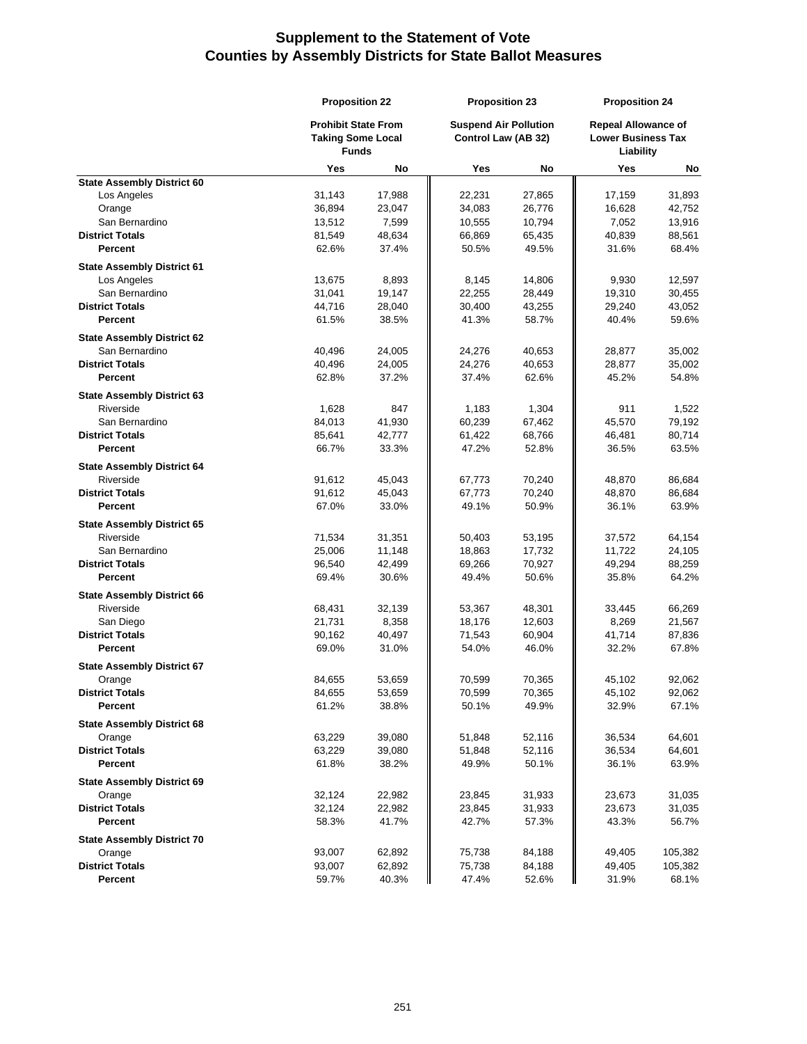|                                                | <b>Proposition 22</b>                    |        | <b>Proposition 23</b>        |        | <b>Proposition 24</b>                  |         |
|------------------------------------------------|------------------------------------------|--------|------------------------------|--------|----------------------------------------|---------|
|                                                | <b>Prohibit State From</b>               |        | <b>Suspend Air Pollution</b> |        | <b>Repeal Allowance of</b>             |         |
|                                                | <b>Taking Some Local</b><br><b>Funds</b> |        | Control Law (AB 32)          |        | <b>Lower Business Tax</b><br>Liability |         |
|                                                | Yes                                      | No     | Yes                          | No     | Yes                                    | No      |
| <b>State Assembly District 60</b>              |                                          |        |                              |        |                                        |         |
| Los Angeles                                    | 31,143                                   | 17,988 | 22,231                       | 27,865 | 17,159                                 | 31,893  |
| Orange                                         | 36,894                                   | 23,047 | 34,083                       | 26,776 | 16,628                                 | 42,752  |
| San Bernardino                                 | 13,512                                   | 7,599  | 10,555                       | 10,794 | 7,052                                  | 13,916  |
| <b>District Totals</b>                         | 81,549                                   | 48,634 | 66,869                       | 65,435 | 40,839                                 | 88,561  |
| <b>Percent</b>                                 | 62.6%                                    | 37.4%  | 50.5%                        | 49.5%  | 31.6%                                  | 68.4%   |
| <b>State Assembly District 61</b>              |                                          |        |                              |        |                                        |         |
| Los Angeles                                    | 13,675                                   | 8,893  | 8,145                        | 14,806 | 9,930                                  | 12,597  |
| San Bernardino                                 | 31,041                                   | 19,147 | 22,255                       | 28,449 | 19,310                                 | 30,455  |
| <b>District Totals</b>                         | 44,716                                   | 28,040 | 30,400                       | 43,255 | 29,240                                 | 43,052  |
| <b>Percent</b>                                 | 61.5%                                    | 38.5%  | 41.3%                        | 58.7%  | 40.4%                                  | 59.6%   |
| <b>State Assembly District 62</b>              |                                          |        |                              |        |                                        |         |
| San Bernardino                                 | 40,496                                   | 24,005 | 24,276                       | 40,653 | 28,877                                 | 35,002  |
| <b>District Totals</b>                         | 40,496                                   | 24,005 | 24,276                       | 40,653 | 28,877                                 | 35,002  |
| <b>Percent</b>                                 | 62.8%                                    | 37.2%  | 37.4%                        | 62.6%  | 45.2%                                  | 54.8%   |
| <b>State Assembly District 63</b>              |                                          |        |                              |        |                                        |         |
| Riverside                                      | 1,628                                    | 847    | 1,183                        | 1,304  | 911                                    | 1,522   |
| San Bernardino                                 | 84,013                                   | 41,930 | 60,239                       | 67,462 | 45,570                                 | 79,192  |
| <b>District Totals</b>                         | 85,641                                   | 42,777 | 61,422                       | 68,766 | 46,481                                 | 80,714  |
| <b>Percent</b>                                 | 66.7%                                    | 33.3%  | 47.2%                        | 52.8%  | 36.5%                                  | 63.5%   |
| <b>State Assembly District 64</b>              |                                          |        |                              |        |                                        |         |
| Riverside                                      | 91,612                                   | 45,043 | 67,773                       | 70,240 | 48,870                                 | 86,684  |
| <b>District Totals</b>                         | 91,612                                   | 45,043 | 67,773                       | 70,240 | 48,870                                 | 86,684  |
| <b>Percent</b>                                 | 67.0%                                    | 33.0%  | 49.1%                        | 50.9%  | 36.1%                                  | 63.9%   |
|                                                |                                          |        |                              |        |                                        |         |
| <b>State Assembly District 65</b><br>Riverside | 71,534                                   | 31,351 | 50,403                       | 53,195 | 37,572                                 | 64,154  |
| San Bernardino                                 | 25,006                                   | 11,148 | 18,863                       | 17,732 | 11,722                                 | 24,105  |
| <b>District Totals</b>                         | 96,540                                   | 42,499 | 69,266                       | 70,927 | 49,294                                 | 88,259  |
| <b>Percent</b>                                 | 69.4%                                    | 30.6%  | 49.4%                        | 50.6%  | 35.8%                                  | 64.2%   |
|                                                |                                          |        |                              |        |                                        |         |
| <b>State Assembly District 66</b>              |                                          |        |                              |        |                                        |         |
| Riverside                                      | 68,431                                   | 32,139 | 53,367                       | 48,301 | 33,445                                 | 66,269  |
| San Diego                                      | 21,731                                   | 8,358  | 18,176                       | 12,603 | 8,269                                  | 21,567  |
| <b>District Totals</b>                         | 90,162                                   | 40,497 | 71,543                       | 60,904 | 41,714                                 | 87,836  |
| <b>Percent</b>                                 | 69.0%                                    | 31.0%  | 54.0%                        | 46.0%  | 32.2%                                  | 67.8%   |
| <b>State Assembly District 67</b>              |                                          |        |                              |        |                                        |         |
| Orange                                         | 84,655                                   | 53,659 | 70,599                       | 70,365 | 45,102                                 | 92,062  |
| <b>District Totals</b>                         | 84,655                                   | 53,659 | 70,599                       | 70,365 | 45,102                                 | 92,062  |
| <b>Percent</b>                                 | 61.2%                                    | 38.8%  | 50.1%                        | 49.9%  | 32.9%                                  | 67.1%   |
| <b>State Assembly District 68</b>              |                                          |        |                              |        |                                        |         |
| Orange                                         | 63,229                                   | 39,080 | 51,848                       | 52,116 | 36,534                                 | 64,601  |
| <b>District Totals</b>                         | 63,229                                   | 39,080 | 51,848                       | 52,116 | 36,534                                 | 64,601  |
| Percent                                        | 61.8%                                    | 38.2%  | 49.9%                        | 50.1%  | 36.1%                                  | 63.9%   |
| <b>State Assembly District 69</b>              |                                          |        |                              |        |                                        |         |
| Orange                                         | 32,124                                   | 22,982 | 23,845                       | 31,933 | 23,673                                 | 31,035  |
| <b>District Totals</b>                         | 32,124                                   | 22,982 | 23,845                       | 31,933 | 23,673                                 | 31,035  |
| <b>Percent</b>                                 | 58.3%                                    | 41.7%  | 42.7%                        | 57.3%  | 43.3%                                  | 56.7%   |
| <b>State Assembly District 70</b>              |                                          |        |                              |        |                                        |         |
| Orange                                         | 93,007                                   | 62,892 | 75,738                       | 84,188 | 49,405                                 | 105,382 |
| <b>District Totals</b>                         | 93,007                                   | 62,892 | 75,738                       | 84,188 | 49,405                                 | 105,382 |
| Percent                                        | 59.7%                                    | 40.3%  | 47.4%                        | 52.6%  | 31.9%                                  | 68.1%   |
|                                                |                                          |        |                              |        |                                        |         |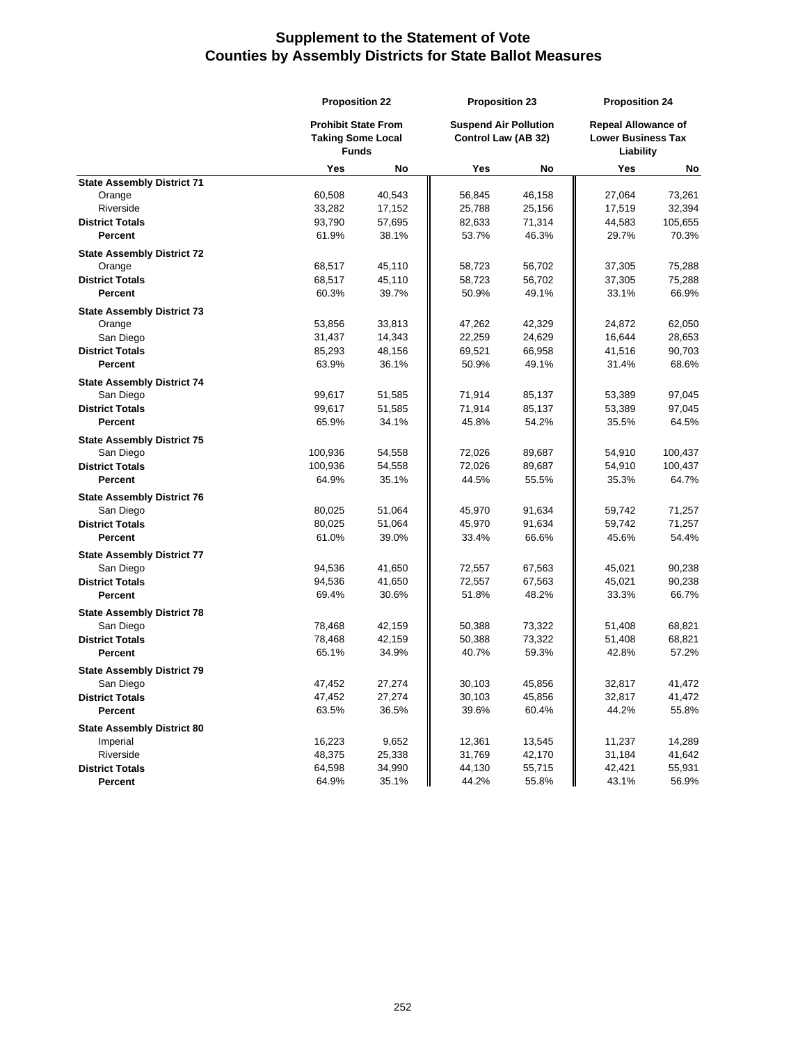| <b>Prohibit State From</b><br><b>Suspend Air Pollution</b><br><b>Repeal Allowance of</b><br>Control Law (AB 32)<br><b>Lower Business Tax</b><br><b>Taking Some Local</b><br><b>Funds</b><br>Liability<br>Yes<br>Yes<br>No<br>Yes<br>No<br>No<br><b>State Assembly District 71</b><br>60,508<br>40,543<br>56,845<br>Orange<br>46,158<br>27,064<br>73,261<br>Riverside<br>32,394<br>33,282<br>17,152<br>25,788<br>25,156<br>17,519<br><b>District Totals</b><br>93,790<br>57,695<br>82,633<br>71,314<br>44,583<br>105,655<br><b>Percent</b><br>61.9%<br>38.1%<br>53.7%<br>46.3%<br>29.7%<br>70.3%<br><b>State Assembly District 72</b><br>68,517<br>75,288<br>Orange<br>45,110<br>58,723<br>37,305<br>56,702<br><b>District Totals</b><br>68,517<br>45,110<br>58,723<br>56,702<br>37,305<br>75,288<br><b>Percent</b><br>60.3%<br>39.7%<br>50.9%<br>49.1%<br>33.1%<br>66.9%<br><b>State Assembly District 73</b><br>Orange<br>53,856<br>33,813<br>47,262<br>42,329<br>24,872<br>62,050<br>San Diego<br>31,437<br>14,343<br>22,259<br>24,629<br>28,653<br>16,644<br><b>District Totals</b><br>85,293<br>48,156<br>69,521<br>66,958<br>41,516<br>90,703<br>63.9%<br><b>Percent</b><br>36.1%<br>50.9%<br>49.1%<br>31.4%<br>68.6%<br><b>State Assembly District 74</b><br>San Diego<br>99,617<br>51,585<br>71,914<br>85,137<br>53,389<br>97,045<br><b>District Totals</b><br>99,617<br>51,585<br>71,914<br>97,045<br>85,137<br>53,389<br>65.9%<br>34.1%<br>45.8%<br>54.2%<br>35.5%<br>64.5%<br>Percent<br><b>State Assembly District 75</b><br>San Diego<br>100,936<br>54,558<br>72,026<br>89,687<br>54,910<br>100,437<br><b>District Totals</b><br>100,936<br>54,558<br>72,026<br>54,910<br>100,437<br>89,687<br>44.5%<br>64.9%<br>35.1%<br>55.5%<br>35.3%<br>64.7%<br><b>Percent</b> |
|---------------------------------------------------------------------------------------------------------------------------------------------------------------------------------------------------------------------------------------------------------------------------------------------------------------------------------------------------------------------------------------------------------------------------------------------------------------------------------------------------------------------------------------------------------------------------------------------------------------------------------------------------------------------------------------------------------------------------------------------------------------------------------------------------------------------------------------------------------------------------------------------------------------------------------------------------------------------------------------------------------------------------------------------------------------------------------------------------------------------------------------------------------------------------------------------------------------------------------------------------------------------------------------------------------------------------------------------------------------------------------------------------------------------------------------------------------------------------------------------------------------------------------------------------------------------------------------------------------------------------------------------------------------------------------------------------------------------------------------------------------------------------------|
|                                                                                                                                                                                                                                                                                                                                                                                                                                                                                                                                                                                                                                                                                                                                                                                                                                                                                                                                                                                                                                                                                                                                                                                                                                                                                                                                                                                                                                                                                                                                                                                                                                                                                                                                                                                 |
|                                                                                                                                                                                                                                                                                                                                                                                                                                                                                                                                                                                                                                                                                                                                                                                                                                                                                                                                                                                                                                                                                                                                                                                                                                                                                                                                                                                                                                                                                                                                                                                                                                                                                                                                                                                 |
|                                                                                                                                                                                                                                                                                                                                                                                                                                                                                                                                                                                                                                                                                                                                                                                                                                                                                                                                                                                                                                                                                                                                                                                                                                                                                                                                                                                                                                                                                                                                                                                                                                                                                                                                                                                 |
|                                                                                                                                                                                                                                                                                                                                                                                                                                                                                                                                                                                                                                                                                                                                                                                                                                                                                                                                                                                                                                                                                                                                                                                                                                                                                                                                                                                                                                                                                                                                                                                                                                                                                                                                                                                 |
|                                                                                                                                                                                                                                                                                                                                                                                                                                                                                                                                                                                                                                                                                                                                                                                                                                                                                                                                                                                                                                                                                                                                                                                                                                                                                                                                                                                                                                                                                                                                                                                                                                                                                                                                                                                 |
|                                                                                                                                                                                                                                                                                                                                                                                                                                                                                                                                                                                                                                                                                                                                                                                                                                                                                                                                                                                                                                                                                                                                                                                                                                                                                                                                                                                                                                                                                                                                                                                                                                                                                                                                                                                 |
|                                                                                                                                                                                                                                                                                                                                                                                                                                                                                                                                                                                                                                                                                                                                                                                                                                                                                                                                                                                                                                                                                                                                                                                                                                                                                                                                                                                                                                                                                                                                                                                                                                                                                                                                                                                 |
|                                                                                                                                                                                                                                                                                                                                                                                                                                                                                                                                                                                                                                                                                                                                                                                                                                                                                                                                                                                                                                                                                                                                                                                                                                                                                                                                                                                                                                                                                                                                                                                                                                                                                                                                                                                 |
|                                                                                                                                                                                                                                                                                                                                                                                                                                                                                                                                                                                                                                                                                                                                                                                                                                                                                                                                                                                                                                                                                                                                                                                                                                                                                                                                                                                                                                                                                                                                                                                                                                                                                                                                                                                 |
|                                                                                                                                                                                                                                                                                                                                                                                                                                                                                                                                                                                                                                                                                                                                                                                                                                                                                                                                                                                                                                                                                                                                                                                                                                                                                                                                                                                                                                                                                                                                                                                                                                                                                                                                                                                 |
|                                                                                                                                                                                                                                                                                                                                                                                                                                                                                                                                                                                                                                                                                                                                                                                                                                                                                                                                                                                                                                                                                                                                                                                                                                                                                                                                                                                                                                                                                                                                                                                                                                                                                                                                                                                 |
|                                                                                                                                                                                                                                                                                                                                                                                                                                                                                                                                                                                                                                                                                                                                                                                                                                                                                                                                                                                                                                                                                                                                                                                                                                                                                                                                                                                                                                                                                                                                                                                                                                                                                                                                                                                 |
|                                                                                                                                                                                                                                                                                                                                                                                                                                                                                                                                                                                                                                                                                                                                                                                                                                                                                                                                                                                                                                                                                                                                                                                                                                                                                                                                                                                                                                                                                                                                                                                                                                                                                                                                                                                 |
|                                                                                                                                                                                                                                                                                                                                                                                                                                                                                                                                                                                                                                                                                                                                                                                                                                                                                                                                                                                                                                                                                                                                                                                                                                                                                                                                                                                                                                                                                                                                                                                                                                                                                                                                                                                 |
|                                                                                                                                                                                                                                                                                                                                                                                                                                                                                                                                                                                                                                                                                                                                                                                                                                                                                                                                                                                                                                                                                                                                                                                                                                                                                                                                                                                                                                                                                                                                                                                                                                                                                                                                                                                 |
|                                                                                                                                                                                                                                                                                                                                                                                                                                                                                                                                                                                                                                                                                                                                                                                                                                                                                                                                                                                                                                                                                                                                                                                                                                                                                                                                                                                                                                                                                                                                                                                                                                                                                                                                                                                 |
|                                                                                                                                                                                                                                                                                                                                                                                                                                                                                                                                                                                                                                                                                                                                                                                                                                                                                                                                                                                                                                                                                                                                                                                                                                                                                                                                                                                                                                                                                                                                                                                                                                                                                                                                                                                 |
|                                                                                                                                                                                                                                                                                                                                                                                                                                                                                                                                                                                                                                                                                                                                                                                                                                                                                                                                                                                                                                                                                                                                                                                                                                                                                                                                                                                                                                                                                                                                                                                                                                                                                                                                                                                 |
|                                                                                                                                                                                                                                                                                                                                                                                                                                                                                                                                                                                                                                                                                                                                                                                                                                                                                                                                                                                                                                                                                                                                                                                                                                                                                                                                                                                                                                                                                                                                                                                                                                                                                                                                                                                 |
|                                                                                                                                                                                                                                                                                                                                                                                                                                                                                                                                                                                                                                                                                                                                                                                                                                                                                                                                                                                                                                                                                                                                                                                                                                                                                                                                                                                                                                                                                                                                                                                                                                                                                                                                                                                 |
|                                                                                                                                                                                                                                                                                                                                                                                                                                                                                                                                                                                                                                                                                                                                                                                                                                                                                                                                                                                                                                                                                                                                                                                                                                                                                                                                                                                                                                                                                                                                                                                                                                                                                                                                                                                 |
|                                                                                                                                                                                                                                                                                                                                                                                                                                                                                                                                                                                                                                                                                                                                                                                                                                                                                                                                                                                                                                                                                                                                                                                                                                                                                                                                                                                                                                                                                                                                                                                                                                                                                                                                                                                 |
|                                                                                                                                                                                                                                                                                                                                                                                                                                                                                                                                                                                                                                                                                                                                                                                                                                                                                                                                                                                                                                                                                                                                                                                                                                                                                                                                                                                                                                                                                                                                                                                                                                                                                                                                                                                 |
|                                                                                                                                                                                                                                                                                                                                                                                                                                                                                                                                                                                                                                                                                                                                                                                                                                                                                                                                                                                                                                                                                                                                                                                                                                                                                                                                                                                                                                                                                                                                                                                                                                                                                                                                                                                 |
|                                                                                                                                                                                                                                                                                                                                                                                                                                                                                                                                                                                                                                                                                                                                                                                                                                                                                                                                                                                                                                                                                                                                                                                                                                                                                                                                                                                                                                                                                                                                                                                                                                                                                                                                                                                 |
| <b>State Assembly District 76</b>                                                                                                                                                                                                                                                                                                                                                                                                                                                                                                                                                                                                                                                                                                                                                                                                                                                                                                                                                                                                                                                                                                                                                                                                                                                                                                                                                                                                                                                                                                                                                                                                                                                                                                                                               |
| 80,025<br>51,064<br>45,970<br>71,257<br>San Diego<br>91,634<br>59,742                                                                                                                                                                                                                                                                                                                                                                                                                                                                                                                                                                                                                                                                                                                                                                                                                                                                                                                                                                                                                                                                                                                                                                                                                                                                                                                                                                                                                                                                                                                                                                                                                                                                                                           |
| <b>District Totals</b><br>80,025<br>51,064<br>45,970<br>91,634<br>59,742<br>71,257                                                                                                                                                                                                                                                                                                                                                                                                                                                                                                                                                                                                                                                                                                                                                                                                                                                                                                                                                                                                                                                                                                                                                                                                                                                                                                                                                                                                                                                                                                                                                                                                                                                                                              |
| <b>Percent</b><br>61.0%<br>39.0%<br>33.4%<br>66.6%<br>45.6%<br>54.4%                                                                                                                                                                                                                                                                                                                                                                                                                                                                                                                                                                                                                                                                                                                                                                                                                                                                                                                                                                                                                                                                                                                                                                                                                                                                                                                                                                                                                                                                                                                                                                                                                                                                                                            |
| <b>State Assembly District 77</b>                                                                                                                                                                                                                                                                                                                                                                                                                                                                                                                                                                                                                                                                                                                                                                                                                                                                                                                                                                                                                                                                                                                                                                                                                                                                                                                                                                                                                                                                                                                                                                                                                                                                                                                                               |
| 94,536<br>San Diego<br>41,650<br>72,557<br>90,238<br>67,563<br>45,021                                                                                                                                                                                                                                                                                                                                                                                                                                                                                                                                                                                                                                                                                                                                                                                                                                                                                                                                                                                                                                                                                                                                                                                                                                                                                                                                                                                                                                                                                                                                                                                                                                                                                                           |
| <b>District Totals</b><br>94,536<br>41,650<br>72,557<br>67,563<br>45,021<br>90,238                                                                                                                                                                                                                                                                                                                                                                                                                                                                                                                                                                                                                                                                                                                                                                                                                                                                                                                                                                                                                                                                                                                                                                                                                                                                                                                                                                                                                                                                                                                                                                                                                                                                                              |
| <b>Percent</b><br>69.4%<br>30.6%<br>51.8%<br>48.2%<br>66.7%<br>33.3%                                                                                                                                                                                                                                                                                                                                                                                                                                                                                                                                                                                                                                                                                                                                                                                                                                                                                                                                                                                                                                                                                                                                                                                                                                                                                                                                                                                                                                                                                                                                                                                                                                                                                                            |
| <b>State Assembly District 78</b>                                                                                                                                                                                                                                                                                                                                                                                                                                                                                                                                                                                                                                                                                                                                                                                                                                                                                                                                                                                                                                                                                                                                                                                                                                                                                                                                                                                                                                                                                                                                                                                                                                                                                                                                               |
| San Diego<br>78,468<br>42,159<br>50,388<br>73,322<br>68,821<br>51,408                                                                                                                                                                                                                                                                                                                                                                                                                                                                                                                                                                                                                                                                                                                                                                                                                                                                                                                                                                                                                                                                                                                                                                                                                                                                                                                                                                                                                                                                                                                                                                                                                                                                                                           |
| <b>District Totals</b><br>78,468<br>42,159<br>50,388<br>73,322<br>68,821<br>51,408                                                                                                                                                                                                                                                                                                                                                                                                                                                                                                                                                                                                                                                                                                                                                                                                                                                                                                                                                                                                                                                                                                                                                                                                                                                                                                                                                                                                                                                                                                                                                                                                                                                                                              |
| 65.1%<br>Percent<br>34.9%<br>40.7%<br>59.3%<br>42.8%<br>57.2%                                                                                                                                                                                                                                                                                                                                                                                                                                                                                                                                                                                                                                                                                                                                                                                                                                                                                                                                                                                                                                                                                                                                                                                                                                                                                                                                                                                                                                                                                                                                                                                                                                                                                                                   |
| <b>State Assembly District 79</b>                                                                                                                                                                                                                                                                                                                                                                                                                                                                                                                                                                                                                                                                                                                                                                                                                                                                                                                                                                                                                                                                                                                                                                                                                                                                                                                                                                                                                                                                                                                                                                                                                                                                                                                                               |
| 45,856<br>47,452<br>27,274<br>30,103<br>32,817<br>41,472<br>San Diego                                                                                                                                                                                                                                                                                                                                                                                                                                                                                                                                                                                                                                                                                                                                                                                                                                                                                                                                                                                                                                                                                                                                                                                                                                                                                                                                                                                                                                                                                                                                                                                                                                                                                                           |
| 47,452<br>27,274<br>45,856<br>41,472<br><b>District Totals</b><br>30,103<br>32,817                                                                                                                                                                                                                                                                                                                                                                                                                                                                                                                                                                                                                                                                                                                                                                                                                                                                                                                                                                                                                                                                                                                                                                                                                                                                                                                                                                                                                                                                                                                                                                                                                                                                                              |
| Percent<br>36.5%<br>39.6%<br>63.5%<br>60.4%<br>44.2%<br>55.8%                                                                                                                                                                                                                                                                                                                                                                                                                                                                                                                                                                                                                                                                                                                                                                                                                                                                                                                                                                                                                                                                                                                                                                                                                                                                                                                                                                                                                                                                                                                                                                                                                                                                                                                   |
| <b>State Assembly District 80</b>                                                                                                                                                                                                                                                                                                                                                                                                                                                                                                                                                                                                                                                                                                                                                                                                                                                                                                                                                                                                                                                                                                                                                                                                                                                                                                                                                                                                                                                                                                                                                                                                                                                                                                                                               |
| 16,223<br>9,652<br>14,289<br>Imperial<br>12,361<br>13,545<br>11,237                                                                                                                                                                                                                                                                                                                                                                                                                                                                                                                                                                                                                                                                                                                                                                                                                                                                                                                                                                                                                                                                                                                                                                                                                                                                                                                                                                                                                                                                                                                                                                                                                                                                                                             |
| 48,375<br>25,338<br>31,769<br>42,170<br>31,184<br>41,642<br>Riverside                                                                                                                                                                                                                                                                                                                                                                                                                                                                                                                                                                                                                                                                                                                                                                                                                                                                                                                                                                                                                                                                                                                                                                                                                                                                                                                                                                                                                                                                                                                                                                                                                                                                                                           |
| 64,598<br>44,130<br>55,715<br>42,421<br><b>District Totals</b><br>34,990<br>55,931                                                                                                                                                                                                                                                                                                                                                                                                                                                                                                                                                                                                                                                                                                                                                                                                                                                                                                                                                                                                                                                                                                                                                                                                                                                                                                                                                                                                                                                                                                                                                                                                                                                                                              |
| 64.9%<br>35.1%<br>44.2%<br>56.9%<br>55.8%<br>43.1%<br>Percent                                                                                                                                                                                                                                                                                                                                                                                                                                                                                                                                                                                                                                                                                                                                                                                                                                                                                                                                                                                                                                                                                                                                                                                                                                                                                                                                                                                                                                                                                                                                                                                                                                                                                                                   |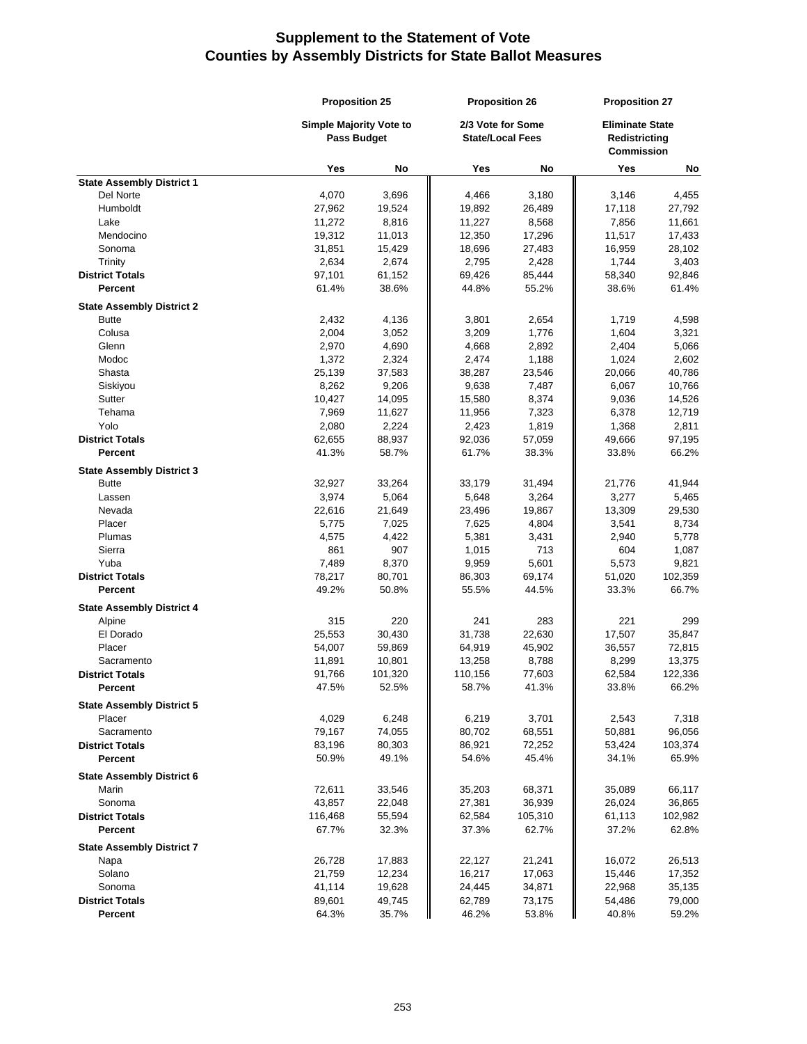|                                  | <b>Proposition 25</b>          |             | <b>Proposition 26</b><br>2/3 Vote for Some<br><b>State/Local Fees</b> |         | <b>Proposition 27</b>                                        |         |
|----------------------------------|--------------------------------|-------------|-----------------------------------------------------------------------|---------|--------------------------------------------------------------|---------|
|                                  | <b>Simple Majority Vote to</b> | Pass Budget |                                                                       |         | <b>Eliminate State</b><br>Redistricting<br><b>Commission</b> |         |
|                                  | Yes                            | No          | Yes                                                                   | No      | Yes                                                          | No      |
| <b>State Assembly District 1</b> |                                |             |                                                                       |         |                                                              |         |
| Del Norte                        | 4,070                          | 3,696       | 4,466                                                                 | 3,180   | 3,146                                                        | 4,455   |
| Humboldt                         | 27,962                         | 19,524      | 19,892                                                                | 26,489  | 17,118                                                       | 27,792  |
| Lake                             | 11,272                         | 8,816       | 11,227                                                                | 8,568   | 7,856                                                        | 11,661  |
| Mendocino                        | 19,312                         | 11,013      | 12,350                                                                | 17,296  | 11,517                                                       | 17,433  |
| Sonoma                           | 31,851                         | 15,429      | 18,696                                                                | 27,483  | 16,959                                                       | 28,102  |
| Trinity                          | 2,634                          | 2,674       | 2,795                                                                 | 2,428   | 1,744                                                        | 3,403   |
| <b>District Totals</b>           | 97,101                         | 61,152      | 69,426                                                                | 85,444  | 58,340                                                       | 92,846  |
| Percent                          | 61.4%                          | 38.6%       | 44.8%                                                                 | 55.2%   | 38.6%                                                        | 61.4%   |
| <b>State Assembly District 2</b> |                                |             |                                                                       |         |                                                              |         |
| <b>Butte</b>                     | 2,432                          | 4,136       | 3,801                                                                 | 2,654   | 1,719                                                        | 4,598   |
| Colusa                           | 2,004                          | 3,052       | 3,209                                                                 | 1,776   | 1,604                                                        | 3,321   |
| Glenn                            | 2,970                          | 4,690       | 4,668                                                                 | 2,892   | 2,404                                                        | 5,066   |
| Modoc                            | 1,372                          | 2,324       | 2,474                                                                 | 1,188   | 1,024                                                        | 2,602   |
| Shasta                           | 25,139                         | 37,583      | 38,287                                                                | 23,546  | 20,066                                                       | 40,786  |
| Siskiyou                         | 8,262                          | 9,206       | 9,638                                                                 | 7,487   | 6,067                                                        | 10,766  |
| Sutter                           | 10,427                         | 14,095      | 15,580                                                                | 8,374   | 9,036                                                        | 14,526  |
| Tehama                           | 7,969                          | 11,627      | 11,956                                                                | 7,323   | 6,378                                                        | 12,719  |
| Yolo                             | 2,080                          | 2,224       | 2,423                                                                 | 1,819   | 1,368                                                        | 2,811   |
| <b>District Totals</b>           | 62,655                         | 88,937      | 92,036                                                                | 57,059  | 49,666                                                       | 97,195  |
| Percent                          | 41.3%                          | 58.7%       | 61.7%                                                                 | 38.3%   | 33.8%                                                        | 66.2%   |
| <b>State Assembly District 3</b> |                                |             |                                                                       |         |                                                              |         |
| <b>Butte</b>                     | 32,927                         | 33,264      | 33,179                                                                | 31,494  | 21,776                                                       | 41,944  |
| Lassen                           | 3,974                          | 5,064       | 5,648                                                                 | 3,264   | 3,277                                                        | 5,465   |
| Nevada                           | 22,616                         | 21,649      | 23,496                                                                | 19,867  | 13,309                                                       | 29,530  |
| Placer                           | 5,775                          | 7,025       | 7,625                                                                 | 4,804   | 3,541                                                        | 8,734   |
| Plumas                           | 4,575                          | 4,422       | 5,381                                                                 | 3,431   | 2,940                                                        | 5,778   |
| Sierra                           | 861                            | 907         | 1,015                                                                 | 713     | 604                                                          | 1,087   |
| Yuba                             | 7,489                          | 8,370       | 9,959                                                                 | 5,601   | 5,573                                                        | 9,821   |
| <b>District Totals</b>           | 78,217                         | 80,701      | 86,303                                                                | 69,174  | 51,020                                                       | 102,359 |
| Percent                          | 49.2%                          | 50.8%       | 55.5%                                                                 | 44.5%   | 33.3%                                                        | 66.7%   |
| <b>State Assembly District 4</b> |                                |             |                                                                       |         |                                                              |         |
| Alpine                           | 315                            | 220         | 241                                                                   | 283     | 221                                                          | 299     |
| El Dorado                        | 25,553                         | 30,430      | 31,738                                                                | 22,630  | 17,507                                                       | 35,847  |
| Placer                           | 54,007                         | 59,869      | 64,919                                                                | 45,902  | 36,557                                                       | 72,815  |
| Sacramento                       | 11,891                         | 10,801      | 13,258                                                                | 8,788   | 8,299                                                        | 13,375  |
| <b>District Totals</b>           | 91,766                         | 101,320     | 110,156<br>58.7%                                                      | 77,603  | 62,584                                                       | 122,336 |
| Percent                          | 47.5%                          | 52.5%       |                                                                       | 41.3%   | 33.8%                                                        | 66.2%   |
| <b>State Assembly District 5</b> |                                |             |                                                                       |         |                                                              |         |
| Placer                           | 4,029                          | 6,248       | 6,219                                                                 | 3,701   | 2,543                                                        | 7,318   |
| Sacramento                       | 79,167                         | 74,055      | 80,702                                                                | 68,551  | 50,881                                                       | 96,056  |
| <b>District Totals</b>           | 83,196                         | 80,303      | 86,921                                                                | 72,252  | 53,424                                                       | 103,374 |
| Percent                          | 50.9%                          | 49.1%       | 54.6%                                                                 | 45.4%   | 34.1%                                                        | 65.9%   |
| <b>State Assembly District 6</b> |                                |             |                                                                       |         |                                                              |         |
| Marin                            | 72,611                         | 33,546      | 35,203                                                                | 68,371  | 35,089                                                       | 66,117  |
| Sonoma                           | 43,857                         | 22,048      | 27,381                                                                | 36,939  | 26,024                                                       | 36,865  |
| <b>District Totals</b>           | 116,468                        | 55,594      | 62,584                                                                | 105,310 | 61,113                                                       | 102,982 |
| <b>Percent</b>                   | 67.7%                          | 32.3%       | 37.3%                                                                 | 62.7%   | 37.2%                                                        | 62.8%   |
| <b>State Assembly District 7</b> |                                |             |                                                                       |         |                                                              |         |
| Napa                             | 26,728                         | 17,883      | 22,127                                                                | 21,241  | 16,072                                                       | 26,513  |
| Solano                           | 21,759                         | 12,234      | 16,217                                                                | 17,063  | 15,446                                                       | 17,352  |
| Sonoma                           | 41,114                         | 19,628      | 24,445                                                                | 34,871  | 22,968                                                       | 35,135  |
| <b>District Totals</b>           | 89,601                         | 49,745      | 62,789                                                                | 73,175  | 54,486                                                       | 79,000  |
| Percent                          | 64.3%                          | 35.7%       | 46.2%                                                                 | 53.8%   | 40.8%                                                        | 59.2%   |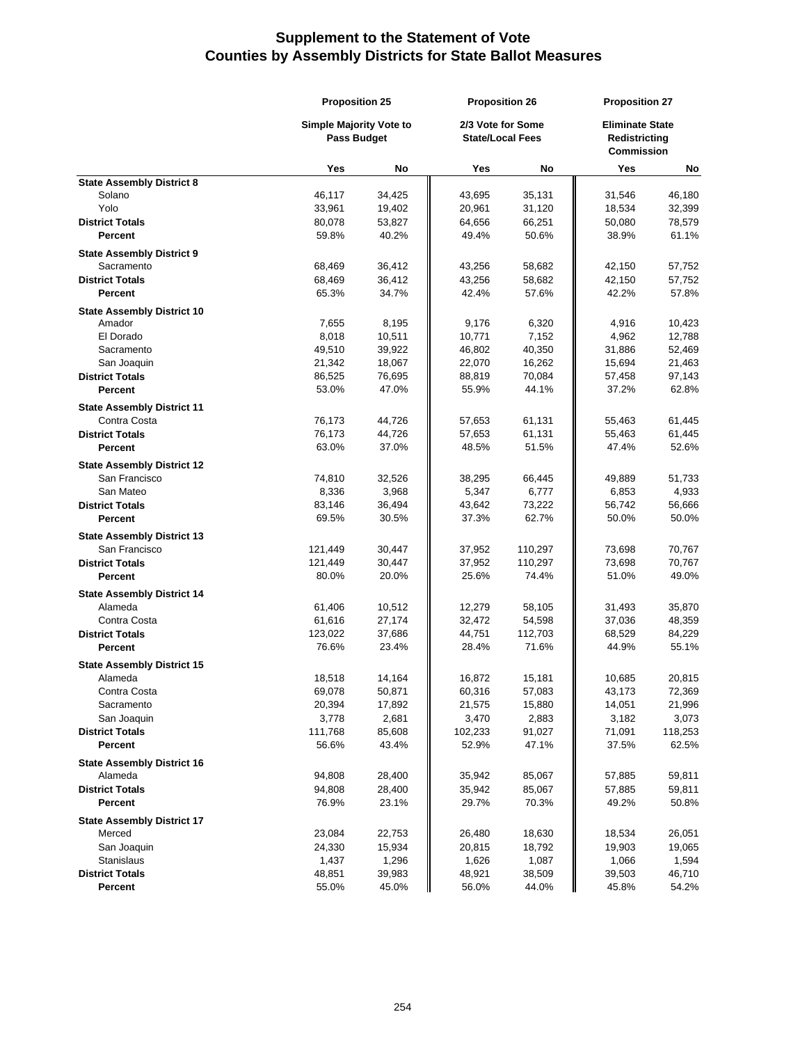|                                   |                                | <b>Proposition 25</b> |                         | <b>Proposition 26</b> |                                    | <b>Proposition 27</b>  |  |
|-----------------------------------|--------------------------------|-----------------------|-------------------------|-----------------------|------------------------------------|------------------------|--|
|                                   | <b>Simple Majority Vote to</b> |                       |                         | 2/3 Vote for Some     |                                    | <b>Eliminate State</b> |  |
|                                   | <b>Pass Budget</b>             |                       | <b>State/Local Fees</b> |                       | Redistricting<br><b>Commission</b> |                        |  |
|                                   | Yes                            | No                    | Yes                     | No                    | Yes                                | No                     |  |
| <b>State Assembly District 8</b>  |                                |                       |                         |                       |                                    |                        |  |
| Solano                            | 46,117                         | 34,425                | 43,695                  | 35,131                | 31,546                             | 46,180                 |  |
| Yolo                              | 33,961                         | 19,402                | 20,961                  | 31,120                | 18,534                             | 32,399                 |  |
| <b>District Totals</b>            | 80,078                         | 53,827                | 64,656                  | 66,251                | 50,080                             | 78,579                 |  |
| <b>Percent</b>                    | 59.8%                          | 40.2%                 | 49.4%                   | 50.6%                 | 38.9%                              | 61.1%                  |  |
| <b>State Assembly District 9</b>  |                                |                       |                         |                       |                                    |                        |  |
| Sacramento                        | 68,469                         | 36,412                | 43,256                  | 58,682                | 42,150                             | 57,752                 |  |
| <b>District Totals</b>            | 68,469                         | 36,412                | 43,256                  | 58,682                | 42,150                             | 57,752                 |  |
| Percent                           | 65.3%                          | 34.7%                 | 42.4%                   | 57.6%                 | 42.2%                              | 57.8%                  |  |
| <b>State Assembly District 10</b> |                                |                       |                         |                       |                                    |                        |  |
| Amador                            | 7,655                          | 8,195                 | 9,176                   | 6,320                 | 4,916                              | 10,423                 |  |
| El Dorado                         | 8,018                          | 10,511                | 10,771                  | 7,152                 | 4,962                              | 12,788                 |  |
| Sacramento                        | 49,510                         | 39,922                | 46,802                  | 40,350                | 31,886                             | 52,469                 |  |
| San Joaquin                       | 21,342                         | 18,067                | 22,070                  | 16,262                | 15,694                             | 21,463                 |  |
| <b>District Totals</b>            | 86,525                         | 76,695                | 88,819                  | 70,084                | 57,458                             | 97,143                 |  |
| <b>Percent</b>                    | 53.0%                          | 47.0%                 | 55.9%                   | 44.1%                 | 37.2%                              | 62.8%                  |  |
| <b>State Assembly District 11</b> |                                |                       |                         |                       |                                    |                        |  |
| Contra Costa                      | 76,173                         | 44,726                | 57,653                  | 61,131                | 55,463                             | 61,445                 |  |
| <b>District Totals</b>            | 76,173                         | 44,726                | 57,653                  | 61,131                | 55,463                             | 61,445                 |  |
| <b>Percent</b>                    | 63.0%                          | 37.0%                 | 48.5%                   | 51.5%                 | 47.4%                              | 52.6%                  |  |
|                                   |                                |                       |                         |                       |                                    |                        |  |
| <b>State Assembly District 12</b> |                                |                       |                         |                       |                                    |                        |  |
| San Francisco                     | 74,810                         | 32,526                | 38,295                  | 66,445                | 49,889                             | 51,733                 |  |
| San Mateo                         | 8,336                          | 3,968                 | 5,347                   | 6,777                 | 6,853                              | 4,933                  |  |
| <b>District Totals</b>            | 83,146                         | 36,494                | 43,642                  | 73,222                | 56,742                             | 56,666                 |  |
| <b>Percent</b>                    | 69.5%                          | 30.5%                 | 37.3%                   | 62.7%                 | 50.0%                              | 50.0%                  |  |
| <b>State Assembly District 13</b> |                                |                       |                         |                       |                                    |                        |  |
| San Francisco                     | 121,449                        | 30,447                | 37,952                  | 110,297               | 73,698                             | 70,767                 |  |
| <b>District Totals</b>            | 121,449                        | 30,447                | 37,952                  | 110,297               | 73,698                             | 70,767                 |  |
| Percent                           | 80.0%                          | 20.0%                 | 25.6%                   | 74.4%                 | 51.0%                              | 49.0%                  |  |
| <b>State Assembly District 14</b> |                                |                       |                         |                       |                                    |                        |  |
| Alameda                           | 61,406                         | 10,512                | 12,279                  | 58,105                | 31,493                             | 35,870                 |  |
| Contra Costa                      | 61,616                         | 27,174                | 32,472                  | 54,598                | 37,036                             | 48,359                 |  |
| <b>District Totals</b>            | 123,022                        | 37,686                | 44,751                  | 112,703               | 68,529                             | 84,229                 |  |
| Percent                           | 76.6%                          | 23.4%                 | 28.4%                   | 71.6%                 | 44.9%                              | 55.1%                  |  |
| <b>State Assembly District 15</b> |                                |                       |                         |                       |                                    |                        |  |
| Alameda                           | 18,518                         | 14,164                | 16,872                  | 15,181                | 10,685                             | 20,815                 |  |
| Contra Costa                      | 69,078                         | 50,871                | 60,316                  | 57,083                | 43,173                             | 72,369                 |  |
| Sacramento                        | 20,394                         | 17,892                | 21,575                  | 15,880                | 14,051                             | 21,996                 |  |
| San Joaquin                       | 3,778                          | 2,681                 | 3,470                   | 2,883                 | 3,182                              | 3,073                  |  |
| <b>District Totals</b>            | 111,768                        | 85,608                | 102,233                 | 91,027                | 71,091                             | 118,253                |  |
| Percent                           | 56.6%                          | 43.4%                 | 52.9%                   | 47.1%                 | 37.5%                              | 62.5%                  |  |
|                                   |                                |                       |                         |                       |                                    |                        |  |
| <b>State Assembly District 16</b> |                                |                       |                         |                       |                                    |                        |  |
| Alameda<br><b>District Totals</b> | 94,808                         | 28,400                | 35,942                  | 85,067                | 57,885                             | 59,811                 |  |
|                                   | 94,808                         | 28,400                | 35,942                  | 85,067                | 57,885                             | 59,811<br>50.8%        |  |
| Percent                           | 76.9%                          | 23.1%                 | 29.7%                   | 70.3%                 | 49.2%                              |                        |  |
| <b>State Assembly District 17</b> |                                |                       |                         |                       |                                    |                        |  |
| Merced                            | 23,084                         | 22,753                | 26,480                  | 18,630                | 18,534                             | 26,051                 |  |
| San Joaquin                       | 24,330                         | 15,934                | 20,815                  | 18,792                | 19,903                             | 19,065                 |  |
| Stanislaus                        | 1,437                          | 1,296                 | 1,626                   | 1,087                 | 1,066                              | 1,594                  |  |
| <b>District Totals</b>            | 48,851                         | 39,983                | 48,921                  | 38,509                | 39,503                             | 46,710                 |  |
| Percent                           | 55.0%                          | 45.0%                 | 56.0%                   | 44.0%                 | 45.8%                              | 54.2%                  |  |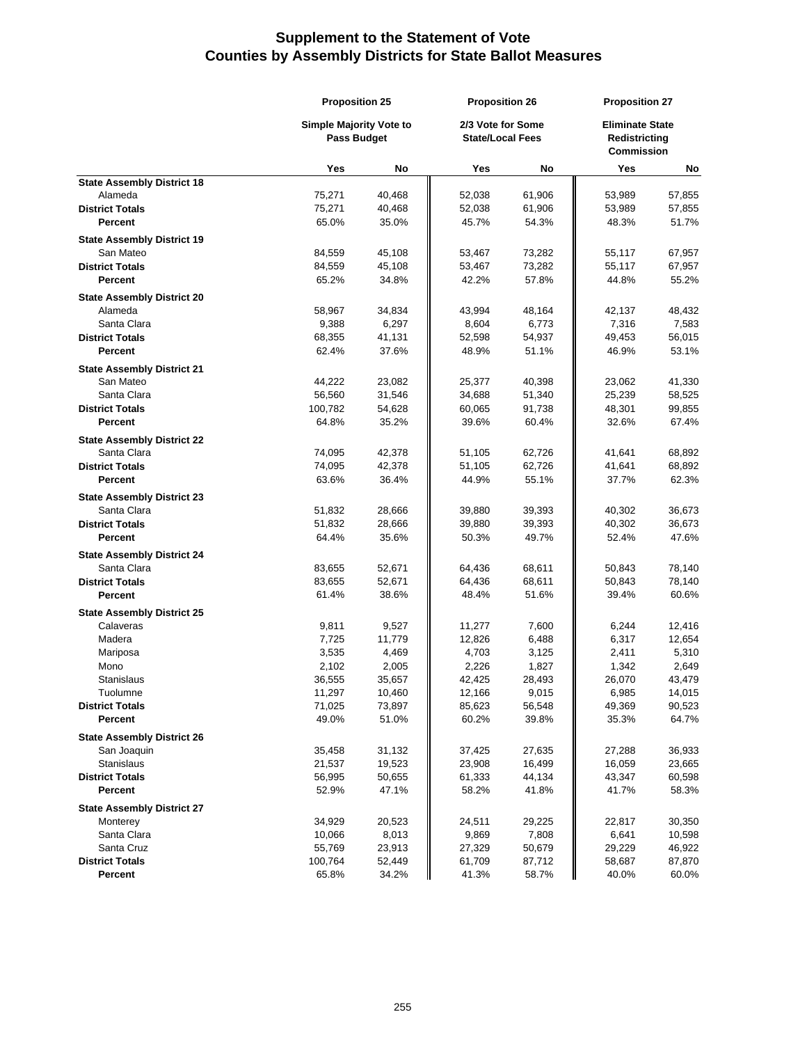|                                   | <b>Proposition 25</b>                                |        | <b>Proposition 26</b><br>2/3 Vote for Some<br><b>State/Local Fees</b> |        | <b>Proposition 27</b>                                        |        |
|-----------------------------------|------------------------------------------------------|--------|-----------------------------------------------------------------------|--------|--------------------------------------------------------------|--------|
|                                   | <b>Simple Majority Vote to</b><br><b>Pass Budget</b> |        |                                                                       |        | <b>Eliminate State</b><br>Redistricting<br><b>Commission</b> |        |
|                                   | Yes                                                  | No     | Yes                                                                   | No     | Yes                                                          | No     |
| <b>State Assembly District 18</b> |                                                      |        |                                                                       |        |                                                              |        |
| Alameda                           | 75,271                                               | 40,468 | 52,038                                                                | 61,906 | 53,989                                                       | 57,855 |
| <b>District Totals</b>            | 75,271                                               | 40,468 | 52,038                                                                | 61,906 | 53,989                                                       | 57,855 |
| <b>Percent</b>                    | 65.0%                                                | 35.0%  | 45.7%                                                                 | 54.3%  | 48.3%                                                        | 51.7%  |
| <b>State Assembly District 19</b> |                                                      |        |                                                                       |        |                                                              |        |
| San Mateo                         | 84,559                                               | 45,108 | 53,467                                                                | 73,282 | 55,117                                                       | 67,957 |
| <b>District Totals</b>            | 84,559                                               | 45,108 | 53,467                                                                | 73,282 | 55,117                                                       | 67,957 |
| Percent                           | 65.2%                                                | 34.8%  | 42.2%                                                                 | 57.8%  | 44.8%                                                        | 55.2%  |
| <b>State Assembly District 20</b> |                                                      |        |                                                                       |        |                                                              |        |
| Alameda                           | 58,967                                               | 34,834 | 43,994                                                                | 48,164 | 42,137                                                       | 48,432 |
| Santa Clara                       | 9,388                                                | 6,297  | 8,604                                                                 | 6,773  | 7,316                                                        | 7,583  |
| <b>District Totals</b>            | 68,355                                               | 41,131 | 52,598                                                                | 54,937 | 49,453                                                       | 56,015 |
| Percent                           | 62.4%                                                | 37.6%  | 48.9%                                                                 | 51.1%  | 46.9%                                                        | 53.1%  |
| <b>State Assembly District 21</b> |                                                      |        |                                                                       |        |                                                              |        |
| San Mateo                         | 44,222                                               | 23,082 | 25,377                                                                | 40,398 | 23,062                                                       | 41,330 |
| Santa Clara                       | 56,560                                               | 31,546 | 34,688                                                                | 51,340 | 25,239                                                       | 58,525 |
| <b>District Totals</b>            | 100,782                                              | 54,628 | 60,065                                                                | 91,738 | 48,301                                                       | 99,855 |
| Percent                           | 64.8%                                                | 35.2%  | 39.6%                                                                 | 60.4%  | 32.6%                                                        | 67.4%  |
| <b>State Assembly District 22</b> |                                                      |        |                                                                       |        |                                                              |        |
| Santa Clara                       | 74,095                                               | 42,378 | 51,105                                                                | 62,726 | 41,641                                                       | 68,892 |
| <b>District Totals</b>            | 74,095                                               | 42,378 | 51,105                                                                | 62,726 | 41,641                                                       | 68,892 |
| Percent                           | 63.6%                                                | 36.4%  | 44.9%                                                                 | 55.1%  | 37.7%                                                        | 62.3%  |
| <b>State Assembly District 23</b> |                                                      |        |                                                                       |        |                                                              |        |
| Santa Clara                       | 51,832                                               | 28,666 | 39,880                                                                | 39,393 | 40,302                                                       | 36,673 |
| <b>District Totals</b>            | 51,832                                               | 28,666 | 39,880                                                                | 39,393 | 40,302                                                       | 36,673 |
| <b>Percent</b>                    | 64.4%                                                | 35.6%  | 50.3%                                                                 | 49.7%  | 52.4%                                                        | 47.6%  |
| <b>State Assembly District 24</b> |                                                      |        |                                                                       |        |                                                              |        |
| Santa Clara                       | 83,655                                               | 52,671 | 64,436                                                                | 68,611 | 50,843                                                       | 78,140 |
| <b>District Totals</b>            | 83,655                                               | 52,671 | 64,436                                                                | 68,611 | 50,843                                                       | 78,140 |
| Percent                           | 61.4%                                                | 38.6%  | 48.4%                                                                 | 51.6%  | 39.4%                                                        | 60.6%  |
| <b>State Assembly District 25</b> |                                                      |        |                                                                       |        |                                                              |        |
| Calaveras                         | 9,811                                                | 9,527  | 11,277                                                                | 7,600  | 6,244                                                        | 12,416 |
| Madera                            | 7,725                                                | 11,779 | 12,826                                                                | 6,488  | 6,317                                                        | 12,654 |
| Mariposa                          | 3,535                                                | 4,469  | 4,703                                                                 | 3,125  | 2,411                                                        | 5,310  |
| Mono                              | 2,102                                                | 2,005  | 2,226                                                                 | 1,827  | 1,342                                                        | 2,649  |
| <b>Stanislaus</b>                 | 36,555                                               | 35,657 | 42,425                                                                | 28,493 | 26,070                                                       | 43,479 |
| Tuolumne                          | 11,297                                               | 10,460 | 12,166                                                                | 9,015  | 6,985                                                        | 14,015 |
| <b>District Totals</b>            | 71,025                                               | 73,897 | 85,623                                                                | 56,548 | 49,369                                                       | 90,523 |
| Percent                           | 49.0%                                                | 51.0%  | 60.2%                                                                 | 39.8%  | 35.3%                                                        | 64.7%  |
| <b>State Assembly District 26</b> |                                                      |        |                                                                       |        |                                                              |        |
| San Joaquin                       | 35,458                                               | 31,132 | 37,425                                                                | 27,635 | 27,288                                                       | 36,933 |
| Stanislaus                        | 21,537                                               | 19,523 | 23,908                                                                | 16,499 | 16,059                                                       | 23,665 |
| <b>District Totals</b>            | 56,995                                               | 50,655 | 61,333                                                                | 44,134 | 43,347                                                       | 60,598 |
| <b>Percent</b>                    | 52.9%                                                | 47.1%  | 58.2%                                                                 | 41.8%  | 41.7%                                                        | 58.3%  |
| <b>State Assembly District 27</b> |                                                      |        |                                                                       |        |                                                              |        |
| Monterey                          | 34,929                                               | 20,523 | 24,511                                                                | 29,225 | 22,817                                                       | 30,350 |
| Santa Clara                       | 10,066                                               | 8,013  | 9,869                                                                 | 7,808  | 6,641                                                        | 10,598 |
| Santa Cruz                        | 55,769                                               | 23,913 | 27,329                                                                | 50,679 | 29,229                                                       | 46,922 |
| <b>District Totals</b>            | 100,764                                              | 52,449 | 61,709                                                                | 87,712 | 58,687                                                       | 87,870 |
| Percent                           | 65.8%                                                | 34.2%  | 41.3%                                                                 | 58.7%  | 40.0%                                                        | 60.0%  |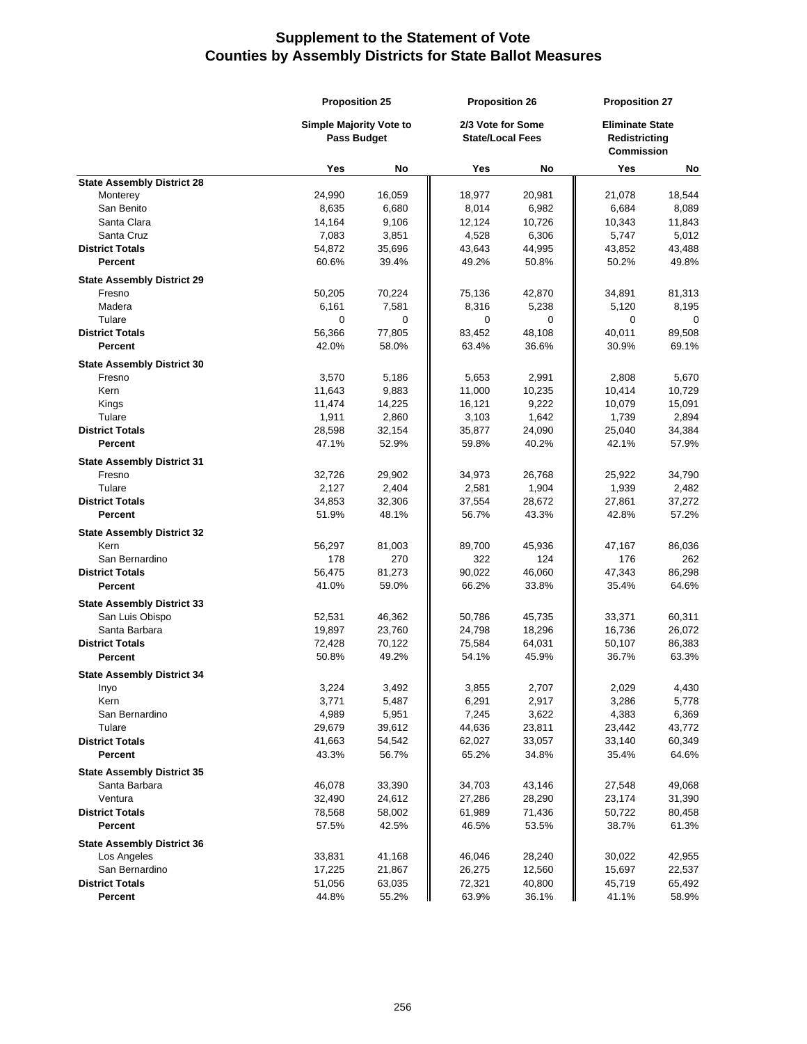|                                                  | <b>Proposition 25</b>                         |                 | <b>Proposition 26</b><br>2/3 Vote for Some<br><b>State/Local Fees</b> |                 | <b>Proposition 27</b>                                        |                 |
|--------------------------------------------------|-----------------------------------------------|-----------------|-----------------------------------------------------------------------|-----------------|--------------------------------------------------------------|-----------------|
|                                                  | <b>Simple Majority Vote to</b><br>Pass Budget |                 |                                                                       |                 | <b>Eliminate State</b><br>Redistricting<br><b>Commission</b> |                 |
|                                                  | Yes                                           | No              | Yes                                                                   | No              | Yes                                                          | No              |
| <b>State Assembly District 28</b>                |                                               |                 |                                                                       |                 |                                                              |                 |
| Monterey                                         | 24,990                                        | 16,059          | 18,977                                                                | 20,981          | 21,078                                                       | 18,544          |
| San Benito                                       | 8,635                                         | 6,680           | 8,014                                                                 | 6,982           | 6,684                                                        | 8,089           |
| Santa Clara                                      | 14,164                                        | 9,106           | 12,124                                                                | 10,726          | 10,343                                                       | 11,843          |
| Santa Cruz                                       | 7,083                                         | 3,851           | 4,528                                                                 | 6,306           | 5,747                                                        | 5,012           |
| <b>District Totals</b><br>Percent                | 54,872<br>60.6%                               | 35,696<br>39.4% | 43,643<br>49.2%                                                       | 44,995<br>50.8% | 43,852<br>50.2%                                              | 43,488<br>49.8% |
| <b>State Assembly District 29</b>                |                                               |                 |                                                                       |                 |                                                              |                 |
| Fresno                                           | 50,205                                        | 70,224          | 75,136                                                                | 42,870          | 34,891                                                       | 81,313          |
| Madera                                           | 6,161                                         | 7,581           | 8,316                                                                 | 5,238           | 5,120                                                        | 8,195           |
| Tulare                                           | 0                                             | 0               | 0                                                                     | $\mathbf 0$     | 0                                                            | 0               |
| <b>District Totals</b>                           | 56,366                                        | 77,805          | 83,452                                                                | 48,108          | 40,011                                                       | 89,508          |
| Percent                                          | 42.0%                                         | 58.0%           | 63.4%                                                                 | 36.6%           | 30.9%                                                        | 69.1%           |
| <b>State Assembly District 30</b>                |                                               |                 |                                                                       |                 |                                                              |                 |
| Fresno                                           | 3,570                                         | 5,186           | 5,653                                                                 | 2,991           | 2,808                                                        | 5,670           |
| Kern                                             | 11,643                                        | 9,883           | 11,000                                                                | 10,235          | 10,414                                                       | 10,729          |
| Kings                                            | 11,474                                        | 14,225          | 16,121                                                                | 9,222           | 10,079                                                       | 15,091          |
| Tulare                                           | 1,911                                         | 2,860           | 3,103                                                                 | 1,642           | 1,739                                                        | 2,894           |
| <b>District Totals</b>                           | 28,598                                        | 32,154          | 35,877                                                                | 24,090          | 25,040                                                       | 34,384          |
| Percent                                          | 47.1%                                         | 52.9%           | 59.8%                                                                 | 40.2%           | 42.1%                                                        | 57.9%           |
| <b>State Assembly District 31</b>                |                                               |                 |                                                                       |                 |                                                              |                 |
| Fresno                                           | 32,726                                        | 29,902          | 34,973                                                                | 26,768          | 25,922                                                       | 34,790          |
| Tulare                                           | 2,127                                         | 2,404           | 2,581                                                                 | 1,904           | 1,939                                                        | 2,482           |
| <b>District Totals</b>                           | 34,853                                        | 32,306          | 37,554                                                                | 28,672          | 27,861                                                       | 37,272          |
| Percent                                          | 51.9%                                         | 48.1%           | 56.7%                                                                 | 43.3%           | 42.8%                                                        | 57.2%           |
| <b>State Assembly District 32</b>                |                                               |                 |                                                                       |                 |                                                              |                 |
| Kern                                             | 56,297                                        | 81,003          | 89,700                                                                | 45,936          | 47,167                                                       | 86,036          |
| San Bernardino<br><b>District Totals</b>         | 178<br>56,475                                 | 270<br>81,273   | 322<br>90,022                                                         | 124<br>46,060   | 176<br>47,343                                                | 262<br>86,298   |
| Percent                                          | 41.0%                                         | 59.0%           | 66.2%                                                                 | 33.8%           | 35.4%                                                        | 64.6%           |
| <b>State Assembly District 33</b>                |                                               |                 |                                                                       |                 |                                                              |                 |
| San Luis Obispo                                  | 52,531                                        | 46,362          | 50,786                                                                | 45,735          | 33,371                                                       | 60,311          |
| Santa Barbara                                    | 19,897                                        | 23,760          | 24,798                                                                | 18,296          | 16,736                                                       | 26,072          |
| <b>District Totals</b>                           | 72,428                                        | 70,122          | 75,584                                                                | 64,031          | 50,107                                                       | 86,383          |
| Percent                                          | 50.8%                                         | 49.2%           | 54.1%                                                                 | 45.9%           | 36.7%                                                        | 63.3%           |
| <b>State Assembly District 34</b>                |                                               |                 |                                                                       |                 |                                                              |                 |
| inyo                                             | 3,224                                         | 3,492           | 3,855                                                                 | 2,707           | 2,029                                                        | 4,430           |
| Kern                                             | 3,771                                         | 5,487           | 6,291                                                                 | 2,917           | 3,286                                                        | 5,778           |
| San Bernardino                                   | 4,989                                         | 5,951           | 7,245                                                                 | 3,622           | 4,383                                                        | 6,369           |
| Tulare                                           | 29,679                                        | 39,612          | 44,636                                                                | 23,811          | 23,442                                                       | 43,772          |
| <b>District Totals</b>                           | 41,663                                        | 54,542          | 62,027                                                                | 33,057          | 33,140                                                       | 60,349          |
| Percent                                          | 43.3%                                         | 56.7%           | 65.2%                                                                 | 34.8%           | 35.4%                                                        | 64.6%           |
| <b>State Assembly District 35</b>                |                                               |                 |                                                                       |                 |                                                              |                 |
| Santa Barbara                                    | 46,078                                        | 33,390          | 34,703                                                                | 43,146          | 27,548                                                       | 49,068          |
| Ventura                                          | 32,490                                        | 24,612          | 27,286                                                                | 28,290          | 23,174                                                       | 31,390          |
| <b>District Totals</b>                           | 78,568                                        | 58,002          | 61,989                                                                | 71,436          | 50,722                                                       | 80,458          |
| Percent                                          | 57.5%                                         | 42.5%           | 46.5%                                                                 | 53.5%           | 38.7%                                                        | 61.3%           |
| <b>State Assembly District 36</b><br>Los Angeles | 33,831                                        | 41,168          | 46,046                                                                | 28,240          | 30,022                                                       | 42,955          |
| San Bernardino                                   | 17,225                                        | 21,867          | 26,275                                                                | 12,560          | 15,697                                                       | 22,537          |
| <b>District Totals</b>                           | 51,056                                        | 63,035          | 72,321                                                                | 40,800          | 45,719                                                       | 65,492          |
| Percent                                          | 44.8%                                         | 55.2%           | 63.9%                                                                 | 36.1%           | 41.1%                                                        | 58.9%           |
|                                                  |                                               |                 |                                                                       |                 |                                                              |                 |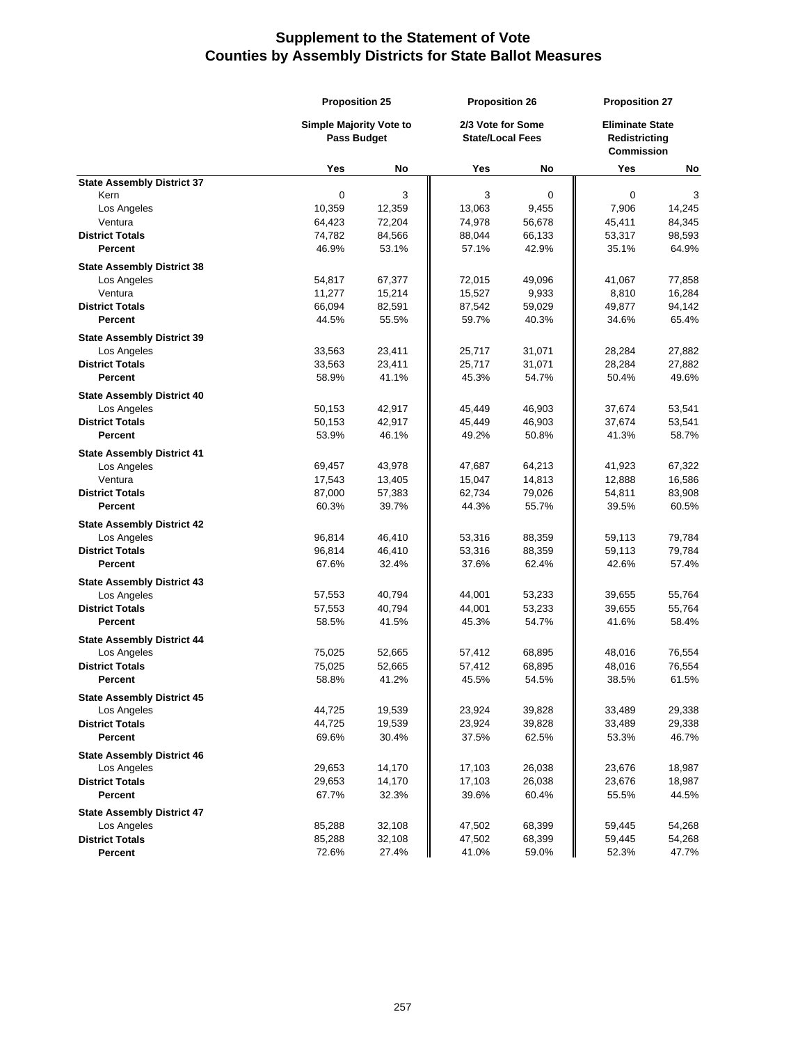|                                       | <b>Proposition 25</b>                                |                  | <b>Proposition 26</b><br>2/3 Vote for Some<br><b>State/Local Fees</b> |                  | <b>Proposition 27</b><br><b>Eliminate State</b><br>Redistricting<br><b>Commission</b> |                  |
|---------------------------------------|------------------------------------------------------|------------------|-----------------------------------------------------------------------|------------------|---------------------------------------------------------------------------------------|------------------|
|                                       | <b>Simple Majority Vote to</b><br><b>Pass Budget</b> |                  |                                                                       |                  |                                                                                       |                  |
|                                       | Yes                                                  | No               | Yes                                                                   | No               | Yes                                                                                   | No               |
| <b>State Assembly District 37</b>     |                                                      |                  |                                                                       |                  |                                                                                       |                  |
| Kern                                  | $\mathbf 0$                                          | 3                | 3                                                                     | $\mathbf 0$      | $\mathbf 0$                                                                           | 3                |
| Los Angeles                           | 10,359                                               | 12,359           | 13,063                                                                | 9,455            | 7,906                                                                                 | 14,245           |
| Ventura                               | 64,423                                               | 72,204           | 74,978                                                                | 56,678           | 45,411                                                                                | 84,345           |
| <b>District Totals</b>                | 74,782                                               | 84,566           | 88,044                                                                | 66,133           | 53,317                                                                                | 98,593           |
| Percent                               | 46.9%                                                | 53.1%            | 57.1%                                                                 | 42.9%            | 35.1%                                                                                 | 64.9%            |
| <b>State Assembly District 38</b>     |                                                      |                  |                                                                       |                  |                                                                                       |                  |
| Los Angeles                           | 54,817                                               | 67,377           | 72,015                                                                | 49,096           | 41,067                                                                                | 77,858           |
| Ventura                               | 11,277                                               | 15,214           | 15,527                                                                | 9,933            | 8,810                                                                                 | 16,284           |
| <b>District Totals</b>                | 66,094                                               | 82,591           | 87,542                                                                | 59,029           | 49,877                                                                                | 94,142           |
| Percent                               | 44.5%                                                | 55.5%            | 59.7%                                                                 | 40.3%            | 34.6%                                                                                 | 65.4%            |
| <b>State Assembly District 39</b>     |                                                      |                  |                                                                       |                  |                                                                                       |                  |
| Los Angeles                           | 33,563                                               | 23,411           | 25,717                                                                | 31,071           | 28,284                                                                                | 27,882           |
| <b>District Totals</b>                | 33,563                                               | 23,411           | 25,717                                                                | 31,071           | 28,284                                                                                | 27,882           |
| Percent                               | 58.9%                                                | 41.1%            | 45.3%                                                                 | 54.7%            | 50.4%                                                                                 | 49.6%            |
| <b>State Assembly District 40</b>     |                                                      |                  |                                                                       |                  |                                                                                       |                  |
| Los Angeles                           | 50,153                                               | 42,917           | 45,449                                                                | 46,903           | 37,674                                                                                | 53,541           |
| <b>District Totals</b>                | 50,153                                               | 42,917           | 45,449                                                                | 46,903           | 37,674                                                                                | 53,541           |
| <b>Percent</b>                        | 53.9%                                                | 46.1%            | 49.2%                                                                 | 50.8%            | 41.3%                                                                                 | 58.7%            |
| <b>State Assembly District 41</b>     |                                                      |                  |                                                                       |                  |                                                                                       |                  |
| Los Angeles                           | 69,457                                               | 43,978           | 47,687                                                                | 64,213           | 41,923                                                                                | 67,322           |
| Ventura                               | 17,543                                               | 13,405           | 15,047                                                                | 14,813           | 12,888                                                                                | 16,586           |
| <b>District Totals</b>                | 87,000                                               | 57,383           | 62,734                                                                | 79,026           | 54,811                                                                                | 83,908           |
| Percent                               | 60.3%                                                | 39.7%            | 44.3%                                                                 | 55.7%            | 39.5%                                                                                 | 60.5%            |
| <b>State Assembly District 42</b>     |                                                      |                  |                                                                       |                  |                                                                                       |                  |
| Los Angeles                           | 96,814                                               | 46,410           | 53,316                                                                | 88,359           | 59,113                                                                                | 79,784           |
| <b>District Totals</b>                | 96,814                                               | 46,410           | 53,316                                                                | 88,359           | 59,113                                                                                | 79,784           |
| <b>Percent</b>                        | 67.6%                                                | 32.4%            | 37.6%                                                                 | 62.4%            | 42.6%                                                                                 | 57.4%            |
| <b>State Assembly District 43</b>     |                                                      |                  |                                                                       |                  |                                                                                       |                  |
| Los Angeles                           | 57,553                                               | 40,794           | 44,001                                                                | 53,233           | 39,655                                                                                | 55,764           |
| <b>District Totals</b>                | 57,553                                               | 40,794           | 44,001                                                                | 53,233           | 39,655                                                                                | 55,764           |
| <b>Percent</b>                        | 58.5%                                                | 41.5%            | 45.3%                                                                 | 54.7%            | 41.6%                                                                                 | 58.4%            |
| <b>State Assembly District 44</b>     |                                                      |                  |                                                                       |                  |                                                                                       |                  |
| Los Angeles                           | 75,025                                               | 52,665           | 57,412                                                                | 68,895           | 48,016                                                                                | 76,554           |
| <b>District Totals</b>                | 75,025                                               | 52,665           | 57,412                                                                | 68,895           | 48,016                                                                                | 76,554           |
| Percent                               | 58.8%                                                | 41.2%            | 45.5%                                                                 | 54.5%            | 38.5%                                                                                 | 61.5%            |
|                                       |                                                      |                  |                                                                       |                  |                                                                                       |                  |
| <b>State Assembly District 45</b>     |                                                      |                  |                                                                       |                  |                                                                                       |                  |
| Los Angeles<br><b>District Totals</b> | 44,725<br>44,725                                     | 19,539<br>19,539 | 23,924<br>23,924                                                      | 39,828<br>39,828 | 33,489<br>33,489                                                                      | 29,338<br>29,338 |
| <b>Percent</b>                        | 69.6%                                                | 30.4%            | 37.5%                                                                 | 62.5%            | 53.3%                                                                                 | 46.7%            |
|                                       |                                                      |                  |                                                                       |                  |                                                                                       |                  |
| <b>State Assembly District 46</b>     |                                                      |                  |                                                                       |                  |                                                                                       |                  |
| Los Angeles                           | 29,653                                               | 14,170           | 17,103                                                                | 26,038           | 23,676                                                                                | 18,987           |
| <b>District Totals</b>                | 29,653                                               | 14,170           | 17,103                                                                | 26,038           | 23,676                                                                                | 18,987           |
| Percent                               | 67.7%                                                | 32.3%            | 39.6%                                                                 | 60.4%            | 55.5%                                                                                 | 44.5%            |
| <b>State Assembly District 47</b>     |                                                      |                  |                                                                       |                  |                                                                                       |                  |
| Los Angeles                           | 85,288                                               | 32,108           | 47,502                                                                | 68,399           | 59,445                                                                                | 54,268           |
| <b>District Totals</b>                | 85,288                                               | 32,108           | 47,502                                                                | 68,399           | 59,445                                                                                | 54,268           |
| Percent                               | 72.6%                                                | 27.4%            | 41.0%                                                                 | 59.0%            | 52.3%                                                                                 | 47.7%            |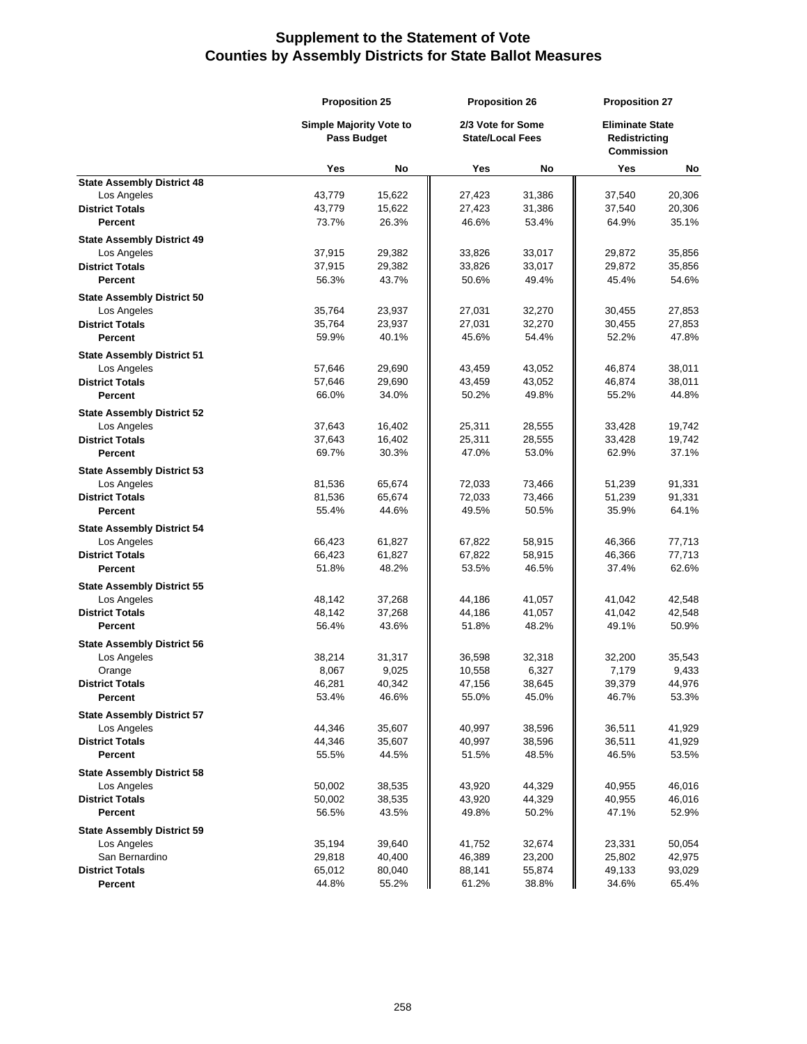|                                                  | <b>Proposition 25</b>          |        | <b>Proposition 26</b>   |                   | <b>Proposition 27</b>              |                        |
|--------------------------------------------------|--------------------------------|--------|-------------------------|-------------------|------------------------------------|------------------------|
|                                                  | <b>Simple Majority Vote to</b> |        |                         | 2/3 Vote for Some |                                    | <b>Eliminate State</b> |
|                                                  | <b>Pass Budget</b>             |        | <b>State/Local Fees</b> |                   | Redistricting<br><b>Commission</b> |                        |
|                                                  | Yes                            | No     | Yes                     | No                | Yes                                | No                     |
| <b>State Assembly District 48</b>                |                                |        |                         |                   |                                    |                        |
| Los Angeles                                      | 43,779                         | 15,622 | 27,423                  | 31,386            | 37,540                             | 20,306                 |
| <b>District Totals</b>                           | 43,779                         | 15,622 | 27,423                  | 31,386            | 37,540                             | 20,306                 |
| Percent                                          | 73.7%                          | 26.3%  | 46.6%                   | 53.4%             | 64.9%                              | 35.1%                  |
| <b>State Assembly District 49</b>                |                                |        |                         |                   |                                    |                        |
| Los Angeles                                      | 37,915                         | 29,382 | 33,826                  | 33,017            | 29,872                             | 35,856                 |
| <b>District Totals</b>                           | 37,915                         | 29,382 | 33,826                  | 33,017            | 29,872                             | 35,856                 |
| Percent                                          | 56.3%                          | 43.7%  | 50.6%                   | 49.4%             | 45.4%                              | 54.6%                  |
| <b>State Assembly District 50</b>                |                                |        |                         |                   |                                    |                        |
| Los Angeles                                      | 35,764                         | 23,937 | 27,031                  | 32,270            | 30,455                             | 27,853                 |
| <b>District Totals</b>                           | 35,764                         | 23,937 | 27,031                  | 32,270            | 30,455                             | 27,853                 |
| Percent                                          | 59.9%                          | 40.1%  | 45.6%                   | 54.4%             | 52.2%                              | 47.8%                  |
| <b>State Assembly District 51</b>                |                                |        |                         |                   |                                    |                        |
| Los Angeles                                      | 57,646                         | 29,690 | 43,459                  | 43,052            | 46,874                             | 38,011                 |
| <b>District Totals</b>                           | 57,646                         | 29,690 | 43,459                  | 43,052            | 46,874                             | 38,011                 |
| <b>Percent</b>                                   | 66.0%                          | 34.0%  | 50.2%                   | 49.8%             | 55.2%                              | 44.8%                  |
|                                                  |                                |        |                         |                   |                                    |                        |
| <b>State Assembly District 52</b><br>Los Angeles | 37,643                         | 16,402 | 25,311                  | 28,555            | 33,428                             | 19,742                 |
| <b>District Totals</b>                           | 37,643                         | 16,402 | 25,311                  | 28,555            | 33,428                             | 19,742                 |
| Percent                                          | 69.7%                          | 30.3%  | 47.0%                   | 53.0%             | 62.9%                              | 37.1%                  |
|                                                  |                                |        |                         |                   |                                    |                        |
| <b>State Assembly District 53</b>                |                                |        |                         |                   |                                    |                        |
| Los Angeles                                      | 81,536                         | 65,674 | 72,033                  | 73,466            | 51,239                             | 91,331                 |
| <b>District Totals</b>                           | 81,536                         | 65,674 | 72,033                  | 73,466            | 51,239                             | 91,331                 |
| Percent                                          | 55.4%                          | 44.6%  | 49.5%                   | 50.5%             | 35.9%                              | 64.1%                  |
| <b>State Assembly District 54</b>                |                                |        |                         |                   |                                    |                        |
| Los Angeles                                      | 66,423                         | 61,827 | 67,822                  | 58,915            | 46,366                             | 77,713                 |
| <b>District Totals</b>                           | 66,423                         | 61,827 | 67,822                  | 58,915            | 46,366                             | 77,713                 |
| <b>Percent</b>                                   | 51.8%                          | 48.2%  | 53.5%                   | 46.5%             | 37.4%                              | 62.6%                  |
| <b>State Assembly District 55</b>                |                                |        |                         |                   |                                    |                        |
| Los Angeles                                      | 48,142                         | 37,268 | 44,186                  | 41,057            | 41,042                             | 42,548                 |
| <b>District Totals</b>                           | 48,142                         | 37,268 | 44,186                  | 41,057            | 41,042                             | 42,548                 |
| <b>Percent</b>                                   | 56.4%                          | 43.6%  | 51.8%                   | 48.2%             | 49.1%                              | 50.9%                  |
| <b>State Assembly District 56</b>                |                                |        |                         |                   |                                    |                        |
| Los Angeles                                      | 38,214                         | 31,317 | 36,598                  | 32,318            | 32,200                             | 35,543                 |
| Orange                                           | 8,067                          | 9,025  | 10,558                  | 6,327             | 7,179                              | 9,433                  |
| <b>District Totals</b>                           | 46,281                         | 40.342 | 47.156                  | 38,645            | 39,379                             | 44,976                 |
| <b>Percent</b>                                   | 53.4%                          | 46.6%  | 55.0%                   | 45.0%             | 46.7%                              | 53.3%                  |
| <b>State Assembly District 57</b>                |                                |        |                         |                   |                                    |                        |
| Los Angeles                                      | 44,346                         | 35,607 | 40,997                  | 38,596            | 36,511                             | 41,929                 |
| <b>District Totals</b>                           | 44,346                         | 35,607 | 40,997                  | 38,596            | 36,511                             | 41,929                 |
| Percent                                          | 55.5%                          | 44.5%  | 51.5%                   | 48.5%             | 46.5%                              | 53.5%                  |
| <b>State Assembly District 58</b>                |                                |        |                         |                   |                                    |                        |
| Los Angeles                                      | 50,002                         | 38,535 | 43,920                  | 44,329            | 40,955                             | 46,016                 |
| <b>District Totals</b>                           | 50,002                         | 38,535 | 43,920                  | 44,329            | 40,955                             | 46,016                 |
| <b>Percent</b>                                   | 56.5%                          | 43.5%  | 49.8%                   | 50.2%             | 47.1%                              | 52.9%                  |
| <b>State Assembly District 59</b>                |                                |        |                         |                   |                                    |                        |
| Los Angeles                                      | 35,194                         | 39,640 | 41,752                  | 32,674            | 23,331                             | 50,054                 |
| San Bernardino                                   | 29,818                         | 40,400 | 46,389                  | 23,200            | 25,802                             | 42,975                 |
| <b>District Totals</b>                           | 65,012                         | 80,040 | 88,141                  | 55,874            | 49,133                             | 93,029                 |
| <b>Percent</b>                                   | 44.8%                          | 55.2%  | 61.2%                   | 38.8%             | 34.6%                              | 65.4%                  |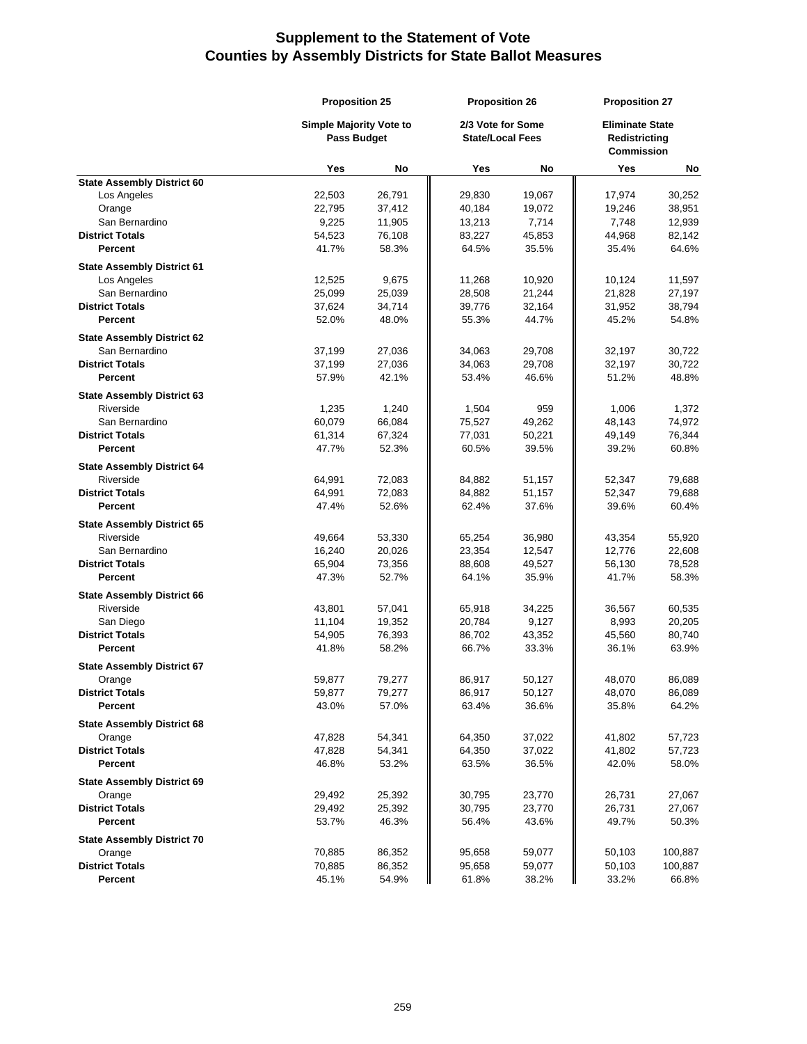|                                                | <b>Proposition 25</b><br><b>Simple Majority Vote to</b><br>Pass Budget |                 | <b>Proposition 26</b><br>2/3 Vote for Some<br><b>State/Local Fees</b> |                 | <b>Proposition 27</b><br><b>Eliminate State</b><br><b>Redistricting</b><br><b>Commission</b> |                 |
|------------------------------------------------|------------------------------------------------------------------------|-----------------|-----------------------------------------------------------------------|-----------------|----------------------------------------------------------------------------------------------|-----------------|
|                                                |                                                                        |                 |                                                                       |                 |                                                                                              |                 |
|                                                | Yes                                                                    | No              | Yes                                                                   | No              | Yes                                                                                          | No              |
| <b>State Assembly District 60</b>              |                                                                        |                 |                                                                       |                 |                                                                                              |                 |
| Los Angeles                                    | 22,503                                                                 | 26,791          | 29,830                                                                | 19,067          | 17,974                                                                                       | 30,252          |
| Orange                                         | 22,795                                                                 | 37,412          | 40,184                                                                | 19,072          | 19,246                                                                                       | 38,951          |
| San Bernardino                                 | 9,225                                                                  | 11,905          | 13,213                                                                | 7,714           | 7,748                                                                                        | 12,939          |
| <b>District Totals</b>                         | 54,523                                                                 | 76,108          | 83,227                                                                | 45,853          | 44,968                                                                                       | 82,142          |
| Percent                                        | 41.7%                                                                  | 58.3%           | 64.5%                                                                 | 35.5%           | 35.4%                                                                                        | 64.6%           |
| <b>State Assembly District 61</b>              |                                                                        |                 |                                                                       |                 |                                                                                              |                 |
| Los Angeles                                    | 12,525                                                                 | 9,675           | 11,268                                                                | 10,920          | 10,124                                                                                       | 11,597          |
| San Bernardino                                 | 25,099                                                                 | 25,039          | 28,508                                                                | 21,244          | 21,828                                                                                       | 27,197          |
| <b>District Totals</b>                         | 37,624                                                                 | 34,714          | 39,776                                                                | 32,164          | 31,952                                                                                       | 38,794          |
| Percent                                        | 52.0%                                                                  | 48.0%           | 55.3%                                                                 | 44.7%           | 45.2%                                                                                        | 54.8%           |
| <b>State Assembly District 62</b>              |                                                                        |                 |                                                                       |                 |                                                                                              |                 |
| San Bernardino                                 | 37,199                                                                 | 27,036          | 34,063                                                                | 29,708          | 32,197                                                                                       | 30,722          |
| <b>District Totals</b>                         | 37,199                                                                 | 27,036          | 34,063                                                                | 29,708          | 32,197                                                                                       | 30,722          |
| Percent                                        | 57.9%                                                                  | 42.1%           | 53.4%                                                                 | 46.6%           | 51.2%                                                                                        | 48.8%           |
| <b>State Assembly District 63</b>              |                                                                        |                 |                                                                       |                 |                                                                                              |                 |
| Riverside                                      | 1,235                                                                  | 1,240           | 1,504                                                                 | 959             | 1,006                                                                                        | 1,372           |
| San Bernardino                                 | 60,079                                                                 | 66,084          | 75,527                                                                | 49,262          | 48,143                                                                                       | 74,972          |
| <b>District Totals</b>                         | 61,314                                                                 | 67,324          | 77,031                                                                | 50,221          | 49,149                                                                                       | 76,344          |
| Percent                                        | 47.7%                                                                  | 52.3%           | 60.5%                                                                 | 39.5%           | 39.2%                                                                                        | 60.8%           |
|                                                |                                                                        |                 |                                                                       |                 |                                                                                              |                 |
| <b>State Assembly District 64</b><br>Riverside | 64,991                                                                 | 72,083          | 84,882                                                                | 51,157          | 52,347                                                                                       | 79,688          |
| <b>District Totals</b>                         | 64,991                                                                 | 72,083          | 84,882                                                                | 51,157          | 52,347                                                                                       | 79,688          |
| <b>Percent</b>                                 | 47.4%                                                                  | 52.6%           | 62.4%                                                                 | 37.6%           | 39.6%                                                                                        | 60.4%           |
|                                                |                                                                        |                 |                                                                       |                 |                                                                                              |                 |
| <b>State Assembly District 65</b>              |                                                                        |                 |                                                                       |                 |                                                                                              |                 |
| Riverside                                      | 49,664                                                                 | 53,330          | 65,254                                                                | 36,980          | 43,354                                                                                       | 55,920          |
| San Bernardino                                 | 16,240                                                                 | 20,026          | 23,354                                                                | 12,547          | 12,776                                                                                       | 22,608          |
| <b>District Totals</b>                         | 65,904                                                                 | 73,356          | 88,608                                                                | 49,527          | 56,130                                                                                       | 78,528          |
| Percent                                        | 47.3%                                                                  | 52.7%           | 64.1%                                                                 | 35.9%           | 41.7%                                                                                        | 58.3%           |
| <b>State Assembly District 66</b>              |                                                                        |                 |                                                                       |                 |                                                                                              |                 |
| Riverside                                      | 43,801                                                                 | 57,041          | 65,918                                                                | 34,225          | 36,567                                                                                       | 60,535          |
| San Diego                                      | 11,104                                                                 | 19,352          | 20,784                                                                | 9,127           | 8,993                                                                                        | 20,205          |
| <b>District Totals</b>                         | 54,905                                                                 | 76,393          | 86,702                                                                | 43,352          | 45,560                                                                                       | 80,740          |
| Percent                                        | 41.8%                                                                  | 58.2%           | 66.7%                                                                 | 33.3%           | 36.1%                                                                                        | 63.9%           |
| <b>State Assembly District 67</b>              |                                                                        |                 |                                                                       |                 |                                                                                              |                 |
| Orange                                         | 59,877                                                                 | 79,277          | 86,917                                                                | 50,127          | 48,070                                                                                       | 86,089          |
| <b>District Totals</b>                         | 59,877                                                                 | 79,277          | 86,917                                                                | 50,127          | 48,070                                                                                       | 86,089          |
| Percent                                        | 43.0%                                                                  | 57.0%           | 63.4%                                                                 | 36.6%           | 35.8%                                                                                        | 64.2%           |
| <b>State Assembly District 68</b>              |                                                                        |                 |                                                                       |                 |                                                                                              |                 |
| Orange                                         | 47,828                                                                 | 54,341          | 64,350                                                                | 37,022          | 41,802                                                                                       | 57,723          |
| <b>District Totals</b>                         | 47,828                                                                 | 54,341          | 64,350                                                                | 37,022          | 41,802                                                                                       | 57,723          |
| Percent                                        | 46.8%                                                                  | 53.2%           | 63.5%                                                                 | 36.5%           | 42.0%                                                                                        | 58.0%           |
| <b>State Assembly District 69</b>              |                                                                        |                 |                                                                       |                 |                                                                                              |                 |
| Orange                                         | 29,492                                                                 | 25,392          | 30,795                                                                | 23,770          | 26,731                                                                                       | 27,067          |
| <b>District Totals</b>                         |                                                                        |                 |                                                                       |                 |                                                                                              |                 |
| Percent                                        | 29,492<br>53.7%                                                        | 25,392<br>46.3% | 30,795<br>56.4%                                                       | 23,770<br>43.6% | 26,731<br>49.7%                                                                              | 27,067<br>50.3% |
|                                                |                                                                        |                 |                                                                       |                 |                                                                                              |                 |
| <b>State Assembly District 70</b>              |                                                                        |                 |                                                                       |                 |                                                                                              |                 |
| Orange                                         | 70,885                                                                 | 86,352          | 95,658                                                                | 59,077          | 50,103                                                                                       | 100,887         |
| <b>District Totals</b>                         | 70,885                                                                 | 86,352          | 95,658                                                                | 59,077          | 50,103                                                                                       | 100,887         |
| Percent                                        | 45.1%                                                                  | 54.9%           | 61.8%                                                                 | 38.2%           | 33.2%                                                                                        | 66.8%           |